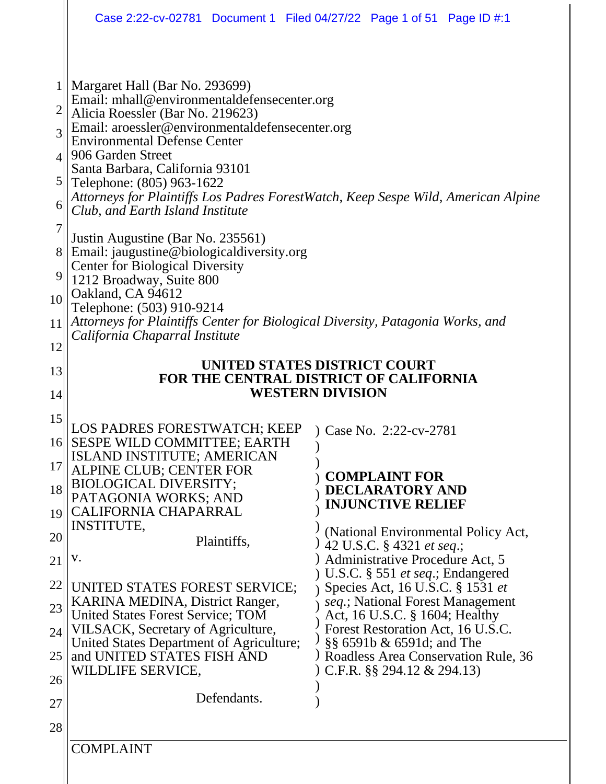|                                                                                                |                                                                                                                                                                                                                                                                                                                                                                                                                                                                                                                   | Case 2:22-cv-02781 Document 1 Filed 04/27/22 Page 1 of 51 Page ID #:1             |  |
|------------------------------------------------------------------------------------------------|-------------------------------------------------------------------------------------------------------------------------------------------------------------------------------------------------------------------------------------------------------------------------------------------------------------------------------------------------------------------------------------------------------------------------------------------------------------------------------------------------------------------|-----------------------------------------------------------------------------------|--|
| $\overline{2}$<br>3<br>$\overline{4}$<br>$\mathfrak{S}$<br>6<br>$\overline{7}$<br>8<br>9<br>10 | Margaret Hall (Bar No. 293699)<br>Email: mhall@environmentaldefensecenter.org<br>Alicia Roessler (Bar No. 219623)<br>Email: aroessler@environmentaldefensecenter.org<br><b>Environmental Defense Center</b><br>906 Garden Street<br>Santa Barbara, California 93101<br>Telephone: (805) 963-1622<br>Club, and Earth Island Institute<br>Justin Augustine (Bar No. 235561)<br>Email: jaugustine@biologicaldiversity.org<br><b>Center for Biological Diversity</b><br>1212 Broadway, Suite 800<br>Oakland, CA 94612 | Attorneys for Plaintiffs Los Padres ForestWatch, Keep Sespe Wild, American Alpine |  |
| 11                                                                                             | Telephone: (503) 910-9214<br>Attorneys for Plaintiffs Center for Biological Diversity, Patagonia Works, and                                                                                                                                                                                                                                                                                                                                                                                                       |                                                                                   |  |
| 12                                                                                             | California Chaparral Institute                                                                                                                                                                                                                                                                                                                                                                                                                                                                                    |                                                                                   |  |
| 13                                                                                             |                                                                                                                                                                                                                                                                                                                                                                                                                                                                                                                   | UNITED STATES DISTRICT COURT                                                      |  |
| 14                                                                                             | FOR THE CENTRAL DISTRICT OF CALIFORNIA<br><b>WESTERN DIVISION</b>                                                                                                                                                                                                                                                                                                                                                                                                                                                 |                                                                                   |  |
| 15                                                                                             |                                                                                                                                                                                                                                                                                                                                                                                                                                                                                                                   |                                                                                   |  |
| $16$                                                                                           | LOS PADRES FORESTWATCH; KEEP<br>SESPE WILD COMMITTEE; EARTH                                                                                                                                                                                                                                                                                                                                                                                                                                                       | Case No. 2:22-cv-2781<br>$\mathcal{L}$                                            |  |
| 17                                                                                             | ISLAND INSTITUTE; AMERICAN<br>ALPINE CLUB; CENTER FOR                                                                                                                                                                                                                                                                                                                                                                                                                                                             |                                                                                   |  |
| 18                                                                                             | <b>BIOLOGICAL DIVERSITY;</b><br>PATAGONIA WORKS; AND                                                                                                                                                                                                                                                                                                                                                                                                                                                              | <b>COMPLAINT FOR</b><br><b>DECLARATORY AND</b>                                    |  |
| 19                                                                                             | CALIFORNIA CHAPARRAL                                                                                                                                                                                                                                                                                                                                                                                                                                                                                              | <b>INJUNCTIVE RELIEF</b>                                                          |  |
| 20                                                                                             | <b>INSTITUTE,</b><br>Plaintiffs,                                                                                                                                                                                                                                                                                                                                                                                                                                                                                  | (National Environmental Policy Act,<br>42 U.S.C. § 4321 et seq.;                  |  |
| 21                                                                                             | V.                                                                                                                                                                                                                                                                                                                                                                                                                                                                                                                | Administrative Procedure Act, 5<br>U.S.C. $\S$ 551 <i>et seq.</i> ; Endangered    |  |
| 22                                                                                             | UNITED STATES FOREST SERVICE;                                                                                                                                                                                                                                                                                                                                                                                                                                                                                     | Species Act, 16 U.S.C. § 1531 et                                                  |  |
| 23                                                                                             | KARINA MEDINA, District Ranger,<br>United States Forest Service; TOM                                                                                                                                                                                                                                                                                                                                                                                                                                              | seq.; National Forest Management<br>Act, 16 U.S.C. § 1604; Healthy                |  |
| 24                                                                                             | VILSACK, Secretary of Agriculture,<br>United States Department of Agriculture;                                                                                                                                                                                                                                                                                                                                                                                                                                    | Forest Restoration Act, 16 U.S.C.<br>§§ 6591b & 6591d; and The                    |  |
| 25                                                                                             | and UNITED STATES FISH AND<br>WILDLIFE SERVICE,                                                                                                                                                                                                                                                                                                                                                                                                                                                                   | Roadless Area Conservation Rule, 36<br>C.F.R. $\S$ 294.12 & 294.13)               |  |
| 26                                                                                             |                                                                                                                                                                                                                                                                                                                                                                                                                                                                                                                   |                                                                                   |  |
| 27                                                                                             | Defendants.                                                                                                                                                                                                                                                                                                                                                                                                                                                                                                       |                                                                                   |  |
| 28                                                                                             |                                                                                                                                                                                                                                                                                                                                                                                                                                                                                                                   |                                                                                   |  |
|                                                                                                | <b>COMPLAINT</b>                                                                                                                                                                                                                                                                                                                                                                                                                                                                                                  |                                                                                   |  |
|                                                                                                |                                                                                                                                                                                                                                                                                                                                                                                                                                                                                                                   |                                                                                   |  |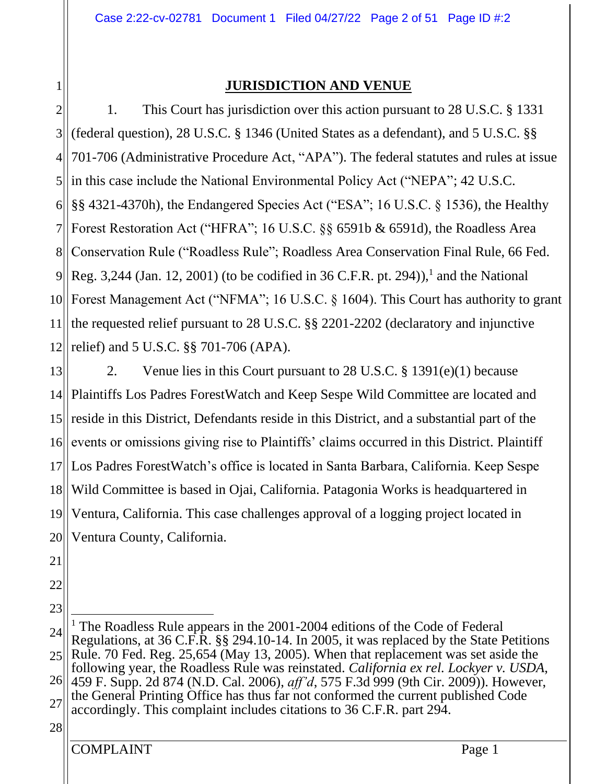1

## **JURISDICTION AND VENUE**

2 3 4 5  $6$ 7 81 9 10 11 12 1. This Court has jurisdiction over this action pursuant to 28 U.S.C. § 1331 (federal question), 28 U.S.C. § 1346 (United States as a defendant), and 5 U.S.C. §§ 701-706 (Administrative Procedure Act, "APA"). The federal statutes and rules at issue in this case include the National Environmental Policy Act ("NEPA"; 42 U.S.C. §§ 4321-4370h), the Endangered Species Act ("ESA"; 16 U.S.C. § 1536), the Healthy Forest Restoration Act ("HFRA"; 16 U.S.C. §§ 6591b & 6591d), the Roadless Area Conservation Rule ("Roadless Rule"; Roadless Area Conservation Final Rule, 66 Fed. Reg. 3,244 (Jan. 12, 2001) (to be codified in 36 C.F.R. pt. 294)),<sup>1</sup> and the National Forest Management Act ("NFMA"; 16 U.S.C. § 1604). This Court has authority to grant the requested relief pursuant to 28 U.S.C. §§ 2201-2202 (declaratory and injunctive relief) and 5 U.S.C. §§ 701-706 (APA).

13  $14$ ||  $15$ 16 17 18 19 20 2. Venue lies in this Court pursuant to 28 U.S.C. § 1391(e)(1) because Plaintiffs Los Padres ForestWatch and Keep Sespe Wild Committee are located and reside in this District, Defendants reside in this District, and a substantial part of the events or omissions giving rise to Plaintiffs' claims occurred in this District. Plaintiff Los Padres ForestWatch's office is located in Santa Barbara, California. Keep Sespe Wild Committee is based in Ojai, California. Patagonia Works is headquartered in Ventura, California. This case challenges approval of a logging project located in Ventura County, California.

- 21
- 22 23

<sup>24</sup> 25 26 27 28 <sup>1</sup> The Roadless Rule appears in the 2001-2004 editions of the Code of Federal Regulations, at 36 C.F.R. §§ 294.10-14. In 2005, it was replaced by the State Petitions Rule. 70 Fed. Reg. 25,654 (May 13, 2005). When that replacement was set aside the following year, the Roadless Rule was reinstated. *California ex rel. Lockyer v. USDA*, 459 F. Supp. 2d 874 (N.D. Cal. 2006), *aff'd*, 575 F.3d 999 (9th Cir. 2009)). However, the General Printing Office has thus far not conformed the current published Code accordingly. This complaint includes citations to 36 C.F.R. part 294.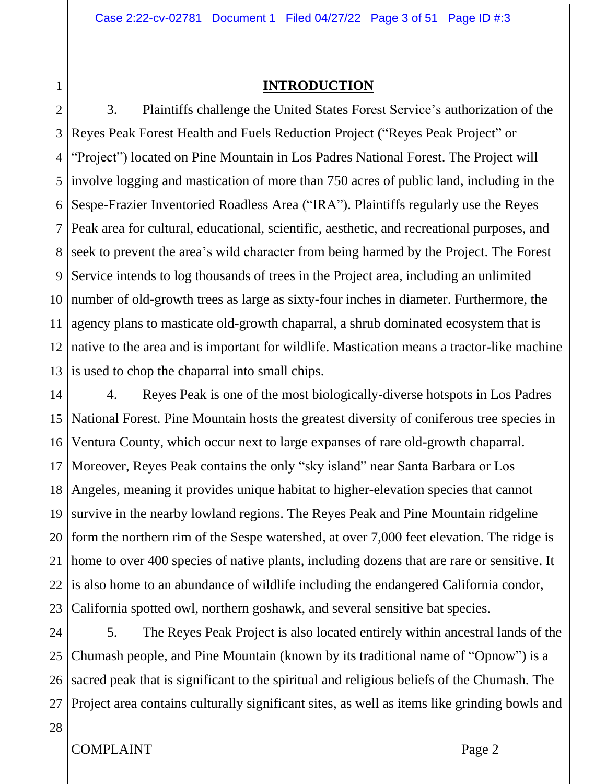## **INTRODUCTION**

2 3 4 5  $6$  $7$ 81 9 10 11 12 13 3. Plaintiffs challenge the United States Forest Service's authorization of the Reyes Peak Forest Health and Fuels Reduction Project ("Reyes Peak Project" or "Project") located on Pine Mountain in Los Padres National Forest. The Project will involve logging and mastication of more than 750 acres of public land, including in the Sespe-Frazier Inventoried Roadless Area ("IRA"). Plaintiffs regularly use the Reyes Peak area for cultural, educational, scientific, aesthetic, and recreational purposes, and seek to prevent the area's wild character from being harmed by the Project. The Forest Service intends to log thousands of trees in the Project area, including an unlimited number of old-growth trees as large as sixty-four inches in diameter. Furthermore, the agency plans to masticate old-growth chaparral, a shrub dominated ecosystem that is native to the area and is important for wildlife. Mastication means a tractor-like machine is used to chop the chaparral into small chips.

14  $15$ 16 17 18 19 20 21 22<sup>||</sup> 23 4. Reyes Peak is one of the most biologically-diverse hotspots in Los Padres National Forest. Pine Mountain hosts the greatest diversity of coniferous tree species in Ventura County, which occur next to large expanses of rare old-growth chaparral. Moreover, Reyes Peak contains the only "sky island" near Santa Barbara or Los Angeles, meaning it provides unique habitat to higher-elevation species that cannot survive in the nearby lowland regions. The Reyes Peak and Pine Mountain ridgeline form the northern rim of the Sespe watershed, at over 7,000 feet elevation. The ridge is home to over 400 species of native plants, including dozens that are rare or sensitive. It is also home to an abundance of wildlife including the endangered California condor, California spotted owl, northern goshawk, and several sensitive bat species.

24 25 26 27 5. The Reyes Peak Project is also located entirely within ancestral lands of the Chumash people, and Pine Mountain (known by its traditional name of "Opnow") is a sacred peak that is significant to the spiritual and religious beliefs of the Chumash. The Project area contains culturally significant sites, as well as items like grinding bowls and

28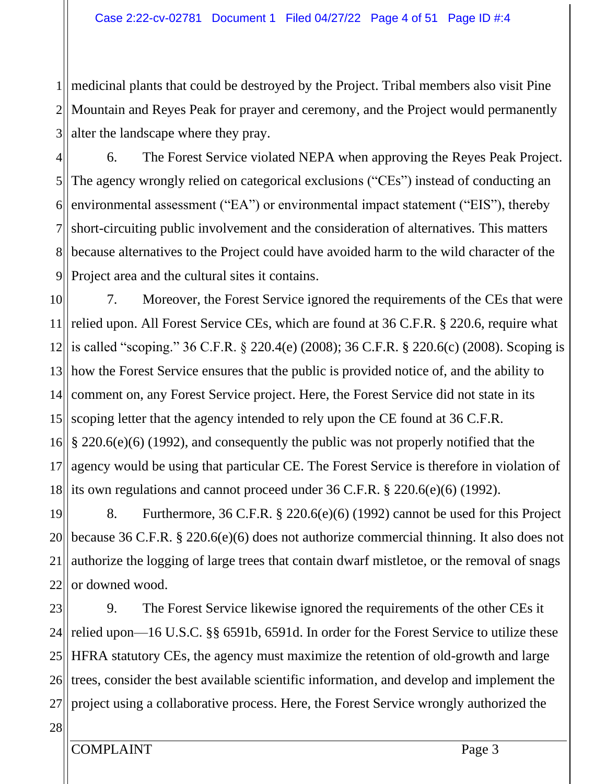1 2 3 medicinal plants that could be destroyed by the Project. Tribal members also visit Pine Mountain and Reyes Peak for prayer and ceremony, and the Project would permanently alter the landscape where they pray.

4 5 6 7 81 9 6. The Forest Service violated NEPA when approving the Reyes Peak Project. The agency wrongly relied on categorical exclusions ("CEs") instead of conducting an environmental assessment ("EA") or environmental impact statement ("EIS"), thereby short-circuiting public involvement and the consideration of alternatives. This matters because alternatives to the Project could have avoided harm to the wild character of the Project area and the cultural sites it contains.

10 11 12  $13$ 14  $15$ 16 17 18 7. Moreover, the Forest Service ignored the requirements of the CEs that were relied upon. All Forest Service CEs, which are found at 36 C.F.R. § 220.6, require what is called "scoping." 36 C.F.R. § 220.4(e) (2008); 36 C.F.R. § 220.6(c) (2008). Scoping is how the Forest Service ensures that the public is provided notice of, and the ability to comment on, any Forest Service project. Here, the Forest Service did not state in its scoping letter that the agency intended to rely upon the CE found at 36 C.F.R. § 220.6(e)(6) (1992), and consequently the public was not properly notified that the agency would be using that particular CE. The Forest Service is therefore in violation of its own regulations and cannot proceed under 36 C.F.R. § 220.6(e)(6) (1992).

19 20 21 22 8. Furthermore, 36 C.F.R. § 220.6(e)(6) (1992) cannot be used for this Project because 36 C.F.R. § 220.6(e)(6) does not authorize commercial thinning. It also does not authorize the logging of large trees that contain dwarf mistletoe, or the removal of snags or downed wood.

23 24 25 26 27 9. The Forest Service likewise ignored the requirements of the other CEs it relied upon—16 U.S.C. §§ 6591b, 6591d. In order for the Forest Service to utilize these HFRA statutory CEs, the agency must maximize the retention of old-growth and large trees, consider the best available scientific information, and develop and implement the project using a collaborative process. Here, the Forest Service wrongly authorized the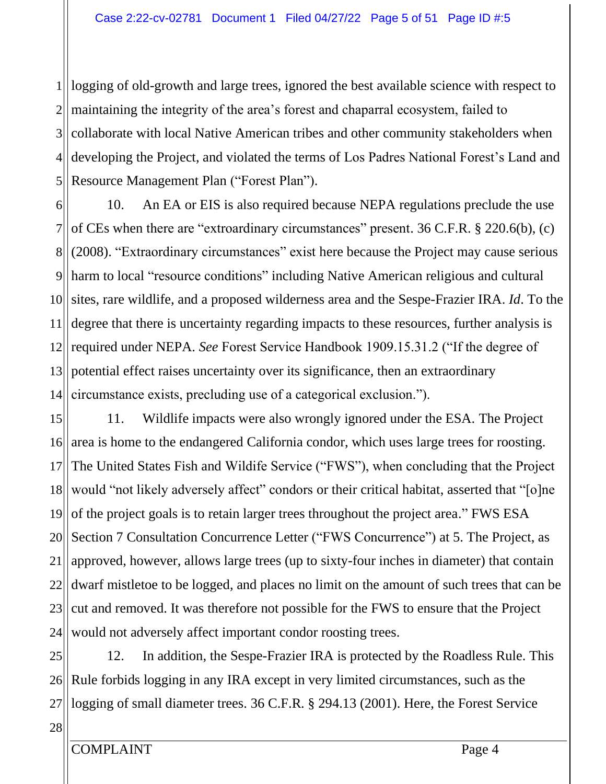1 logging of old-growth and large trees, ignored the best available science with respect to 2 3  $4$ 5 maintaining the integrity of the area's forest and chaparral ecosystem, failed to collaborate with local Native American tribes and other community stakeholders when developing the Project, and violated the terms of Los Padres National Forest's Land and Resource Management Plan ("Forest Plan").

6  $7$ || 81 9II 10 11 12 13 14 10. An EA or EIS is also required because NEPA regulations preclude the use of CEs when there are "extroardinary circumstances" present. 36 C.F.R. § 220.6(b), (c) (2008). "Extraordinary circumstances" exist here because the Project may cause serious harm to local "resource conditions" including Native American religious and cultural sites, rare wildlife, and a proposed wilderness area and the Sespe-Frazier IRA. *Id*. To the degree that there is uncertainty regarding impacts to these resources, further analysis is required under NEPA. *See* Forest Service Handbook 1909.15.31.2 ("If the degree of potential effect raises uncertainty over its significance, then an extraordinary circumstance exists, precluding use of a categorical exclusion.").

15 16 17 18 19 20 21 22 23 24 11. Wildlife impacts were also wrongly ignored under the ESA. The Project area is home to the endangered California condor, which uses large trees for roosting. The United States Fish and Wildife Service ("FWS"), when concluding that the Project would "not likely adversely affect" condors or their critical habitat, asserted that "[o]ne of the project goals is to retain larger trees throughout the project area." FWS ESA Section 7 Consultation Concurrence Letter ("FWS Concurrence") at 5. The Project, as approved, however, allows large trees (up to sixty-four inches in diameter) that contain dwarf mistletoe to be logged, and places no limit on the amount of such trees that can be cut and removed. It was therefore not possible for the FWS to ensure that the Project would not adversely affect important condor roosting trees.

25  $26$ 27 12. In addition, the Sespe-Frazier IRA is protected by the Roadless Rule. This Rule forbids logging in any IRA except in very limited circumstances, such as the logging of small diameter trees. 36 C.F.R. § 294.13 (2001). Here, the Forest Service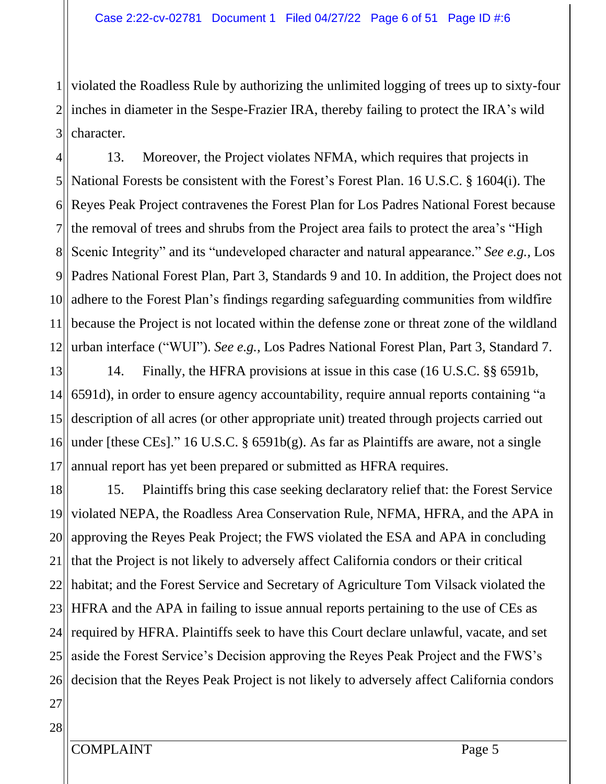1 2 3 violated the Roadless Rule by authorizing the unlimited logging of trees up to sixty-four inches in diameter in the Sespe-Frazier IRA, thereby failing to protect the IRA's wild character.

4  $5$ ||  $6$ 7 8 9 10 11 12 13. Moreover, the Project violates NFMA, which requires that projects in National Forests be consistent with the Forest's Forest Plan. 16 U.S.C. § 1604(i). The Reyes Peak Project contravenes the Forest Plan for Los Padres National Forest because the removal of trees and shrubs from the Project area fails to protect the area's "High Scenic Integrity" and its "undeveloped character and natural appearance." *See e.g.,* Los Padres National Forest Plan, Part 3, Standards 9 and 10. In addition, the Project does not adhere to the Forest Plan's findings regarding safeguarding communities from wildfire because the Project is not located within the defense zone or threat zone of the wildland urban interface ("WUI"). *See e.g.,* Los Padres National Forest Plan, Part 3, Standard 7.

13 14 15 16 17 14. Finally, the HFRA provisions at issue in this case (16 U.S.C. §§ 6591b, 6591d), in order to ensure agency accountability, require annual reports containing "a description of all acres (or other appropriate unit) treated through projects carried out under [these CEs]." 16 U.S.C. § 6591b(g). As far as Plaintiffs are aware, not a single annual report has yet been prepared or submitted as HFRA requires.

18 19 20 21 22 23 24 25 26 15. Plaintiffs bring this case seeking declaratory relief that: the Forest Service violated NEPA, the Roadless Area Conservation Rule, NFMA, HFRA, and the APA in approving the Reyes Peak Project; the FWS violated the ESA and APA in concluding that the Project is not likely to adversely affect California condors or their critical habitat; and the Forest Service and Secretary of Agriculture Tom Vilsack violated the HFRA and the APA in failing to issue annual reports pertaining to the use of CEs as required by HFRA. Plaintiffs seek to have this Court declare unlawful, vacate, and set aside the Forest Service's Decision approving the Reyes Peak Project and the FWS's decision that the Reyes Peak Project is not likely to adversely affect California condors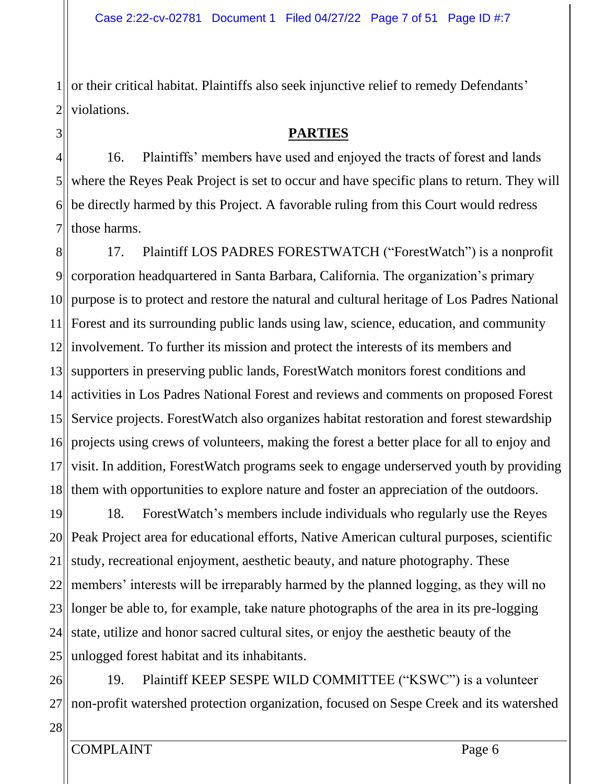1 2 or their critical habitat. Plaintiffs also seek injunctive relief to remedy Defendants' violations.

## **PARTIES**

4 5 6 7 16. Plaintiffs' members have used and enjoyed the tracts of forest and lands where the Reyes Peak Project is set to occur and have specific plans to return. They will be directly harmed by this Project. A favorable ruling from this Court would redress those harms.

8 9 10 11 12 involvement. To further its mission and protect the interests of its members and  $13$  $14$ ||  $15$ 16 17 18 17. Plaintiff LOS PADRES FORESTWATCH ("ForestWatch") is a nonprofit corporation headquartered in Santa Barbara, California. The organization's primary purpose is to protect and restore the natural and cultural heritage of Los Padres National Forest and its surrounding public lands using law, science, education, and community supporters in preserving public lands, ForestWatch monitors forest conditions and activities in Los Padres National Forest and reviews and comments on proposed Forest Service projects. ForestWatch also organizes habitat restoration and forest stewardship projects using crews of volunteers, making the forest a better place for all to enjoy and visit. In addition, ForestWatch programs seek to engage underserved youth by providing them with opportunities to explore nature and foster an appreciation of the outdoors.

19 20<sub>II</sub> 21 22 23 24 25 18. ForestWatch's members include individuals who regularly use the Reyes Peak Project area for educational efforts, Native American cultural purposes, scientific study, recreational enjoyment, aesthetic beauty, and nature photography. These members' interests will be irreparably harmed by the planned logging, as they will no longer be able to, for example, take nature photographs of the area in its pre-logging state, utilize and honor sacred cultural sites, or enjoy the aesthetic beauty of the unlogged forest habitat and its inhabitants.

26 27 19. Plaintiff KEEP SESPE WILD COMMITTEE ("KSWC") is a volunteer non-profit watershed protection organization, focused on Sespe Creek and its watershed

28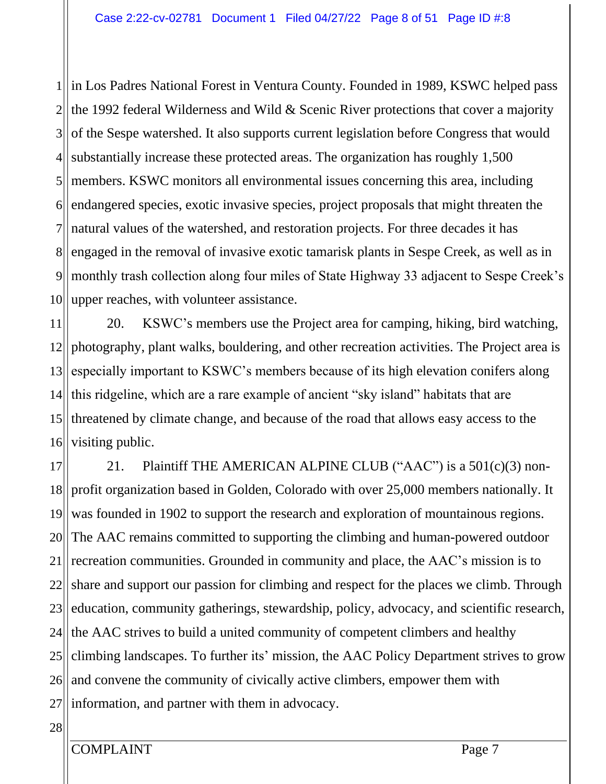1 in Los Padres National Forest in Ventura County. Founded in 1989, KSWC helped pass  $2$ || the 1992 federal Wilderness and Wild & Scenic River protections that cover a majority 3  $4$ 5 6  $7$ || 8 9 10 of the Sespe watershed. It also supports current legislation before Congress that would substantially increase these protected areas. The organization has roughly 1,500 members. KSWC monitors all environmental issues concerning this area, including endangered species, exotic invasive species, project proposals that might threaten the natural values of the watershed, and restoration projects. For three decades it has engaged in the removal of invasive exotic tamarisk plants in Sespe Creek, as well as in monthly trash collection along four miles of State Highway 33 adjacent to Sespe Creek's upper reaches, with volunteer assistance.

11 12 13 14 15 16 20. KSWC's members use the Project area for camping, hiking, bird watching, photography, plant walks, bouldering, and other recreation activities. The Project area is especially important to KSWC's members because of its high elevation conifers along this ridgeline, which are a rare example of ancient "sky island" habitats that are threatened by climate change, and because of the road that allows easy access to the visiting public.

17 18 19 20 21 22<sup>||</sup> 23 24 25 26 27 21. Plaintiff THE AMERICAN ALPINE CLUB ("AAC") is a 501(c)(3) nonprofit organization based in Golden, Colorado with over 25,000 members nationally. It was founded in 1902 to support the research and exploration of mountainous regions. The AAC remains committed to supporting the climbing and human-powered outdoor recreation communities. Grounded in community and place, the AAC's mission is to share and support our passion for climbing and respect for the places we climb. Through education, community gatherings, stewardship, policy, advocacy, and scientific research, the AAC strives to build a united community of competent climbers and healthy climbing landscapes. To further its' mission, the AAC Policy Department strives to grow and convene the community of civically active climbers, empower them with information, and partner with them in advocacy.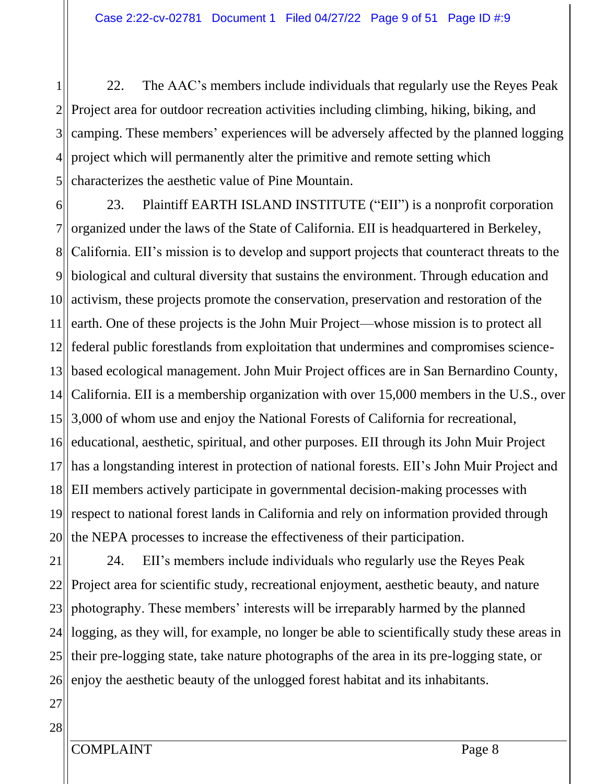1 2 3 4 5 22. The AAC's members include individuals that regularly use the Reyes Peak Project area for outdoor recreation activities including climbing, hiking, biking, and camping. These members' experiences will be adversely affected by the planned logging project which will permanently alter the primitive and remote setting which characterizes the aesthetic value of Pine Mountain.

6 7 8 9 10 11 12 13  $14$ ||  $15$ 16 17 18 19 20 23. Plaintiff EARTH ISLAND INSTITUTE ("EII") is a nonprofit corporation organized under the laws of the State of California. EII is headquartered in Berkeley, California. EII's mission is to develop and support projects that counteract threats to the biological and cultural diversity that sustains the environment. Through education and activism, these projects promote the conservation, preservation and restoration of the earth. One of these projects is the John Muir Project—whose mission is to protect all federal public forestlands from exploitation that undermines and compromises sciencebased ecological management. John Muir Project offices are in San Bernardino County, California. EII is a membership organization with over 15,000 members in the U.S., over 3,000 of whom use and enjoy the National Forests of California for recreational, educational, aesthetic, spiritual, and other purposes. EII through its John Muir Project has a longstanding interest in protection of national forests. EII's John Muir Project and EII members actively participate in governmental decision-making processes with respect to national forest lands in California and rely on information provided through the NEPA processes to increase the effectiveness of their participation.

21 22<sup>||</sup> 23 24 25 26 24. EII's members include individuals who regularly use the Reyes Peak Project area for scientific study, recreational enjoyment, aesthetic beauty, and nature photography. These members' interests will be irreparably harmed by the planned logging, as they will, for example, no longer be able to scientifically study these areas in their pre-logging state, take nature photographs of the area in its pre-logging state, or enjoy the aesthetic beauty of the unlogged forest habitat and its inhabitants.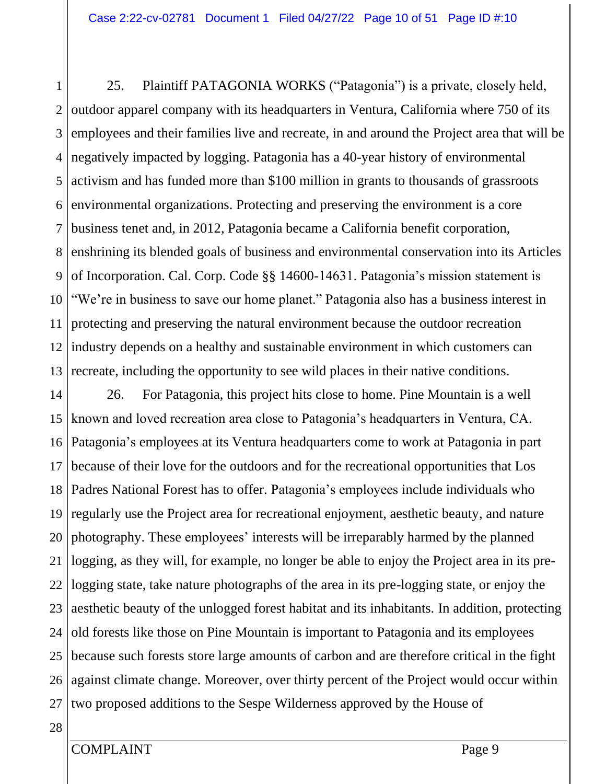1 2 3  $4$ 5 6 7 8 9 10 11 12 13 25. Plaintiff PATAGONIA WORKS ("Patagonia") is a private, closely held, outdoor apparel company with its headquarters in Ventura, California where 750 of its employees and their families live and recreate, in and around the Project area that will be negatively impacted by logging. Patagonia has a 40-year history of environmental activism and has funded more than \$100 million in grants to thousands of grassroots environmental organizations. Protecting and preserving the environment is a core business tenet and, in 2012, Patagonia became a California benefit corporation, enshrining its blended goals of business and environmental conservation into its Articles of Incorporation. Cal. Corp. Code §§ 14600-14631. Patagonia's mission statement is "We're in business to save our home planet." Patagonia also has a business interest in protecting and preserving the natural environment because the outdoor recreation industry depends on a healthy and sustainable environment in which customers can recreate, including the opportunity to see wild places in their native conditions.

14  $15$ 16 17 18 19 20 21 22 23 24 25 26 27 26. For Patagonia, this project hits close to home. Pine Mountain is a well known and loved recreation area close to Patagonia's headquarters in Ventura, CA. Patagonia's employees at its Ventura headquarters come to work at Patagonia in part because of their love for the outdoors and for the recreational opportunities that Los Padres National Forest has to offer. Patagonia's employees include individuals who regularly use the Project area for recreational enjoyment, aesthetic beauty, and nature photography. These employees' interests will be irreparably harmed by the planned logging, as they will, for example, no longer be able to enjoy the Project area in its prelogging state, take nature photographs of the area in its pre-logging state, or enjoy the aesthetic beauty of the unlogged forest habitat and its inhabitants. In addition, protecting old forests like those on Pine Mountain is important to Patagonia and its employees because such forests store large amounts of carbon and are therefore critical in the fight against climate change. Moreover, over thirty percent of the Project would occur within two proposed additions to the Sespe Wilderness approved by the House of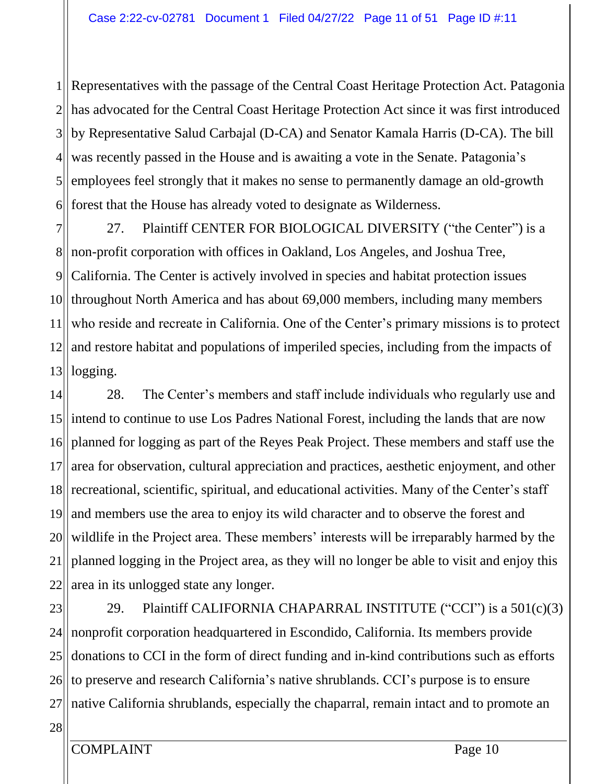$1$ || 2 3  $4$ 5 6 Representatives with the passage of the Central Coast Heritage Protection Act. Patagonia has advocated for the Central Coast Heritage Protection Act since it was first introduced by Representative Salud Carbajal (D-CA) and Senator Kamala Harris (D-CA). The bill was recently passed in the House and is awaiting a vote in the Senate. Patagonia's employees feel strongly that it makes no sense to permanently damage an old-growth forest that the House has already voted to designate as Wilderness.

7 81 9 10 11 12 13 27. Plaintiff CENTER FOR BIOLOGICAL DIVERSITY ("the Center") is a non-profit corporation with offices in Oakland, Los Angeles, and Joshua Tree, California. The Center is actively involved in species and habitat protection issues throughout North America and has about 69,000 members, including many members who reside and recreate in California. One of the Center's primary missions is to protect and restore habitat and populations of imperiled species, including from the impacts of logging.

14  $15$ 16 17 18 19 20 21 22 28. The Center's members and staff include individuals who regularly use and intend to continue to use Los Padres National Forest, including the lands that are now planned for logging as part of the Reyes Peak Project. These members and staff use the area for observation, cultural appreciation and practices, aesthetic enjoyment, and other recreational, scientific, spiritual, and educational activities. Many of the Center's staff and members use the area to enjoy its wild character and to observe the forest and wildlife in the Project area. These members' interests will be irreparably harmed by the planned logging in the Project area, as they will no longer be able to visit and enjoy this area in its unlogged state any longer.

23 24 25 26 27 29. Plaintiff CALIFORNIA CHAPARRAL INSTITUTE ("CCI") is a 501(c)(3) nonprofit corporation headquartered in Escondido, California. Its members provide donations to CCI in the form of direct funding and in-kind contributions such as efforts to preserve and research California's native shrublands. CCI's purpose is to ensure native California shrublands, especially the chaparral, remain intact and to promote an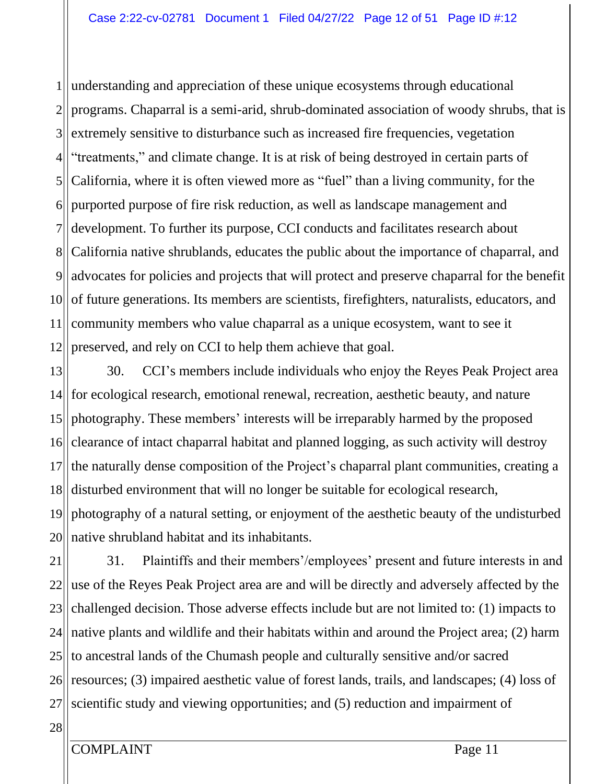1 2 3  $4$ 5  $6$ 7 81 9 10 11 12 understanding and appreciation of these unique ecosystems through educational programs. Chaparral is a semi-arid, shrub-dominated association of woody shrubs, that is extremely sensitive to disturbance such as increased fire frequencies, vegetation "treatments," and climate change. It is at risk of being destroyed in certain parts of California, where it is often viewed more as "fuel" than a living community, for the purported purpose of fire risk reduction, as well as landscape management and development. To further its purpose, CCI conducts and facilitates research about California native shrublands, educates the public about the importance of chaparral, and advocates for policies and projects that will protect and preserve chaparral for the benefit of future generations. Its members are scientists, firefighters, naturalists, educators, and community members who value chaparral as a unique ecosystem, want to see it preserved, and rely on CCI to help them achieve that goal.

13  $14$ || 15 16 17 18 19 20 30. CCI's members include individuals who enjoy the Reyes Peak Project area for ecological research, emotional renewal, recreation, aesthetic beauty, and nature photography. These members' interests will be irreparably harmed by the proposed clearance of intact chaparral habitat and planned logging, as such activity will destroy the naturally dense composition of the Project's chaparral plant communities, creating a disturbed environment that will no longer be suitable for ecological research, photography of a natural setting, or enjoyment of the aesthetic beauty of the undisturbed native shrubland habitat and its inhabitants.

21 22 23 24 25 26 27 31. Plaintiffs and their members'/employees' present and future interests in and use of the Reyes Peak Project area are and will be directly and adversely affected by the challenged decision. Those adverse effects include but are not limited to: (1) impacts to native plants and wildlife and their habitats within and around the Project area; (2) harm to ancestral lands of the Chumash people and culturally sensitive and/or sacred resources; (3) impaired aesthetic value of forest lands, trails, and landscapes; (4) loss of scientific study and viewing opportunities; and (5) reduction and impairment of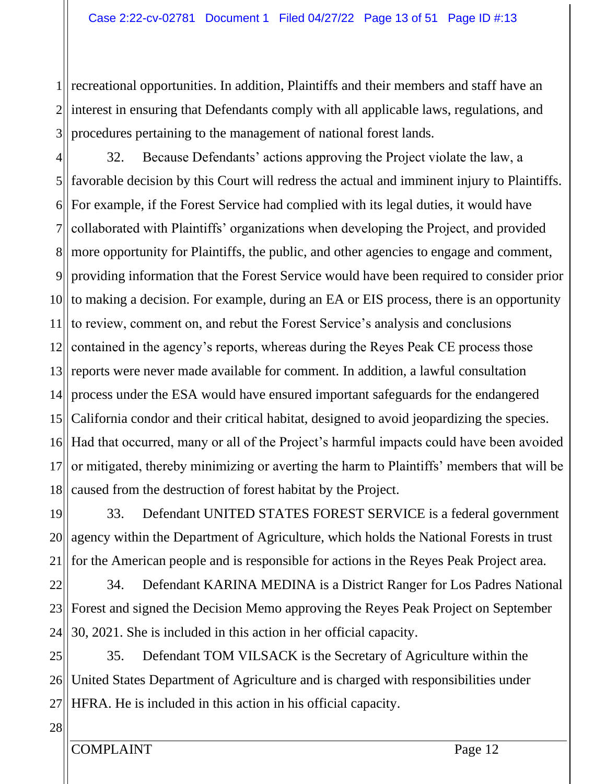$1$ ||  $2$ 3 recreational opportunities. In addition, Plaintiffs and their members and staff have an interest in ensuring that Defendants comply with all applicable laws, regulations, and procedures pertaining to the management of national forest lands.

4  $5$  $6$ 7 8 9 10 11 12 13 14  $15$ 16 17 18 32. Because Defendants' actions approving the Project violate the law, a favorable decision by this Court will redress the actual and imminent injury to Plaintiffs. For example, if the Forest Service had complied with its legal duties, it would have collaborated with Plaintiffs' organizations when developing the Project, and provided more opportunity for Plaintiffs, the public, and other agencies to engage and comment, providing information that the Forest Service would have been required to consider prior to making a decision. For example, during an EA or EIS process, there is an opportunity to review, comment on, and rebut the Forest Service's analysis and conclusions contained in the agency's reports, whereas during the Reyes Peak CE process those reports were never made available for comment. In addition, a lawful consultation process under the ESA would have ensured important safeguards for the endangered California condor and their critical habitat, designed to avoid jeopardizing the species. Had that occurred, many or all of the Project's harmful impacts could have been avoided or mitigated, thereby minimizing or averting the harm to Plaintiffs' members that will be caused from the destruction of forest habitat by the Project.

19 20 21 33. Defendant UNITED STATES FOREST SERVICE is a federal government agency within the Department of Agriculture, which holds the National Forests in trust for the American people and is responsible for actions in the Reyes Peak Project area.

22 23 24 34. Defendant KARINA MEDINA is a District Ranger for Los Padres National Forest and signed the Decision Memo approving the Reyes Peak Project on September 30, 2021. She is included in this action in her official capacity.

25 26 27 35. Defendant TOM VILSACK is the Secretary of Agriculture within the United States Department of Agriculture and is charged with responsibilities under HFRA. He is included in this action in his official capacity.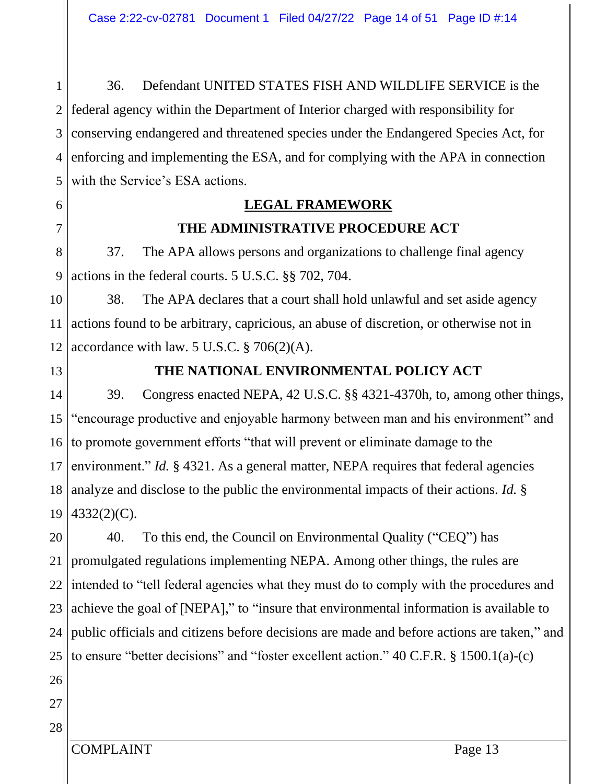1  $2$ 3  $4$ 5 36. Defendant UNITED STATES FISH AND WILDLIFE SERVICE is the federal agency within the Department of Interior charged with responsibility for conserving endangered and threatened species under the Endangered Species Act, for enforcing and implementing the ESA, and for complying with the APA in connection with the Service's ESA actions.

# **LEGAL FRAMEWORK THE ADMINISTRATIVE PROCEDURE ACT**

8 9 37. The APA allows persons and organizations to challenge final agency actions in the federal courts. 5 U.S.C. §§ 702, 704.

10 11 12 38. The APA declares that a court shall hold unlawful and set aside agency actions found to be arbitrary, capricious, an abuse of discretion, or otherwise not in accordance with law. 5 U.S.C.  $\S 706(2)(A)$ .

13

6

7

## **THE NATIONAL ENVIRONMENTAL POLICY ACT**

14 15 16 17 18 19 39. Congress enacted NEPA, 42 U.S.C. §§ 4321-4370h, to, among other things, "encourage productive and enjoyable harmony between man and his environment" and to promote government efforts "that will prevent or eliminate damage to the environment." *Id.* § 4321. As a general matter, NEPA requires that federal agencies analyze and disclose to the public the environmental impacts of their actions. *Id.* § 4332(2)(C).

20 21 22<sup>||</sup> 23 24 25 40. To this end, the Council on Environmental Quality ("CEQ") has promulgated regulations implementing NEPA. Among other things, the rules are intended to "tell federal agencies what they must do to comply with the procedures and achieve the goal of [NEPA]," to "insure that environmental information is available to public officials and citizens before decisions are made and before actions are taken," and to ensure "better decisions" and "foster excellent action." 40 C.F.R. § 1500.1(a)-(c)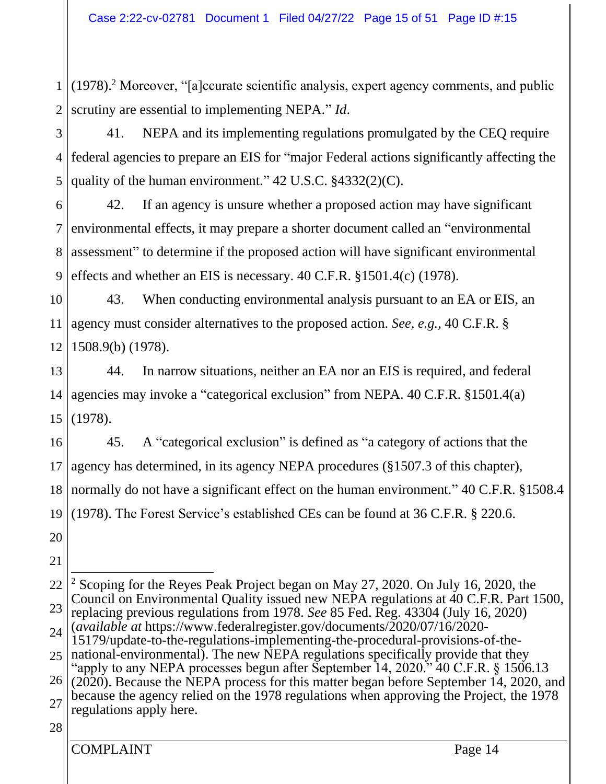1 2 (1978). <sup>2</sup> Moreover, "[a]ccurate scientific analysis, expert agency comments, and public scrutiny are essential to implementing NEPA." *Id*.

3  $4$ 5 41. NEPA and its implementing regulations promulgated by the CEQ require federal agencies to prepare an EIS for "major Federal actions significantly affecting the quality of the human environment." 42 U.S.C. §4332(2)(C).

6 7 8 9 42. If an agency is unsure whether a proposed action may have significant environmental effects, it may prepare a shorter document called an "environmental assessment" to determine if the proposed action will have significant environmental effects and whether an EIS is necessary. 40 C.F.R. §1501.4(c) (1978).

10 11 12 43. When conducting environmental analysis pursuant to an EA or EIS, an agency must consider alternatives to the proposed action. *See, e.g.,* 40 C.F.R. § 1508.9(b) (1978).

13 14  $15$ 44. In narrow situations, neither an EA nor an EIS is required, and federal agencies may invoke a "categorical exclusion" from NEPA. 40 C.F.R. §1501.4(a) (1978).

16 17 18 19 45. A "categorical exclusion" is defined as "a category of actions that the agency has determined, in its agency NEPA procedures (§1507.3 of this chapter), normally do not have a significant effect on the human environment." 40 C.F.R. §1508.4 (1978). The Forest Service's established CEs can be found at 36 C.F.R. § 220.6.

20

21

<sup>22</sup> 23 24 <sup>2</sup> Scoping for the Reyes Peak Project began on May 27, 2020. On July 16, 2020, the Council on Environmental Quality issued new NEPA regulations at 40 C.F.R. Part 1500, replacing previous regulations from 1978. *See* 85 Fed. Reg. 43304 (July 16, 2020) (*available at* https://www.federalregister.gov/documents/2020/07/16/2020- 15179/update-to-the-regulations-implementing-the-procedural-provisions-of-the-

<sup>25</sup> national-environmental). The new NEPA regulations specifically provide that they "apply to any NEPA processes begun after September 14, 2020."  $40$  C.F.R. § 1506.13

<sup>26</sup> 27 (2020). Because the NEPA process for this matter began before September 14, 2020, and because the agency relied on the 1978 regulations when approving the Project, the 1978 regulations apply here.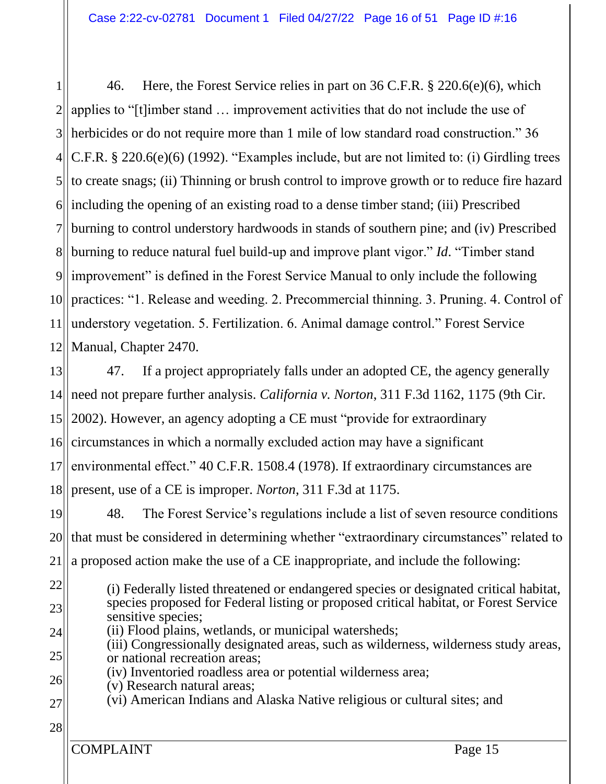1 2 3  $4$ 5  $6$ 7 8 9 10 11 12 46. Here, the Forest Service relies in part on 36 C.F.R. § 220.6(e)(6), which applies to "[t]imber stand … improvement activities that do not include the use of herbicides or do not require more than 1 mile of low standard road construction." 36 C.F.R. § 220.6(e)(6) (1992). "Examples include, but are not limited to: (i) Girdling trees to create snags; (ii) Thinning or brush control to improve growth or to reduce fire hazard including the opening of an existing road to a dense timber stand; (iii) Prescribed burning to control understory hardwoods in stands of southern pine; and (iv) Prescribed burning to reduce natural fuel build-up and improve plant vigor." *Id*. "Timber stand improvement" is defined in the Forest Service Manual to only include the following practices: "1. Release and weeding. 2. Precommercial thinning. 3. Pruning. 4. Control of understory vegetation. 5. Fertilization. 6. Animal damage control." Forest Service Manual, Chapter 2470.

13  $14$ ||  $15$ 16 17 18 19 20 47. If a project appropriately falls under an adopted CE, the agency generally need not prepare further analysis. *California v. Norton*, 311 F.3d 1162, 1175 (9th Cir. 2002). However, an agency adopting a CE must "provide for extraordinary circumstances in which a normally excluded action may have a significant environmental effect." [40 C.F.R. 1508.4](https://1.next.westlaw.com/Link/Document/FullText?findType=L&pubNum=1000547&cite=40CFRS1508.4&originatingDoc=I38ef561d89b711d9ac45f46c5ea084a3&refType=LQ&originationContext=document&transitionType=DocumentItem&ppcid=33c89bc790364e4084fbda4ab93e1ff6&contextData=(sc.Search)) (1978). If extraordinary circumstances are present, use of a CE is improper. *Norton*, 311 F.3d at 1175. 48. The Forest Service's regulations include a list of seven resource conditions that must be considered in determining whether "extraordinary circumstances" related to

- 21 a proposed action make the use of a CE inappropriate, and include the following:
- 22 23 (i) Federally listed threatened or endangered species or designated critical habitat, species proposed for Federal listing or proposed critical habitat, or Forest Service sensitive species;
- 24 (ii) Flood plains, wetlands, or municipal watersheds;
- 25 (iii) Congressionally designated areas, such as wilderness, wilderness study areas, or national recreation areas;
- 26 (iv) Inventoried roadless area or potential wilderness area;
	- (v) Research natural areas;
- 27 (vi) American Indians and Alaska Native religious or cultural sites; and
- 28

COMPLAINT Page 15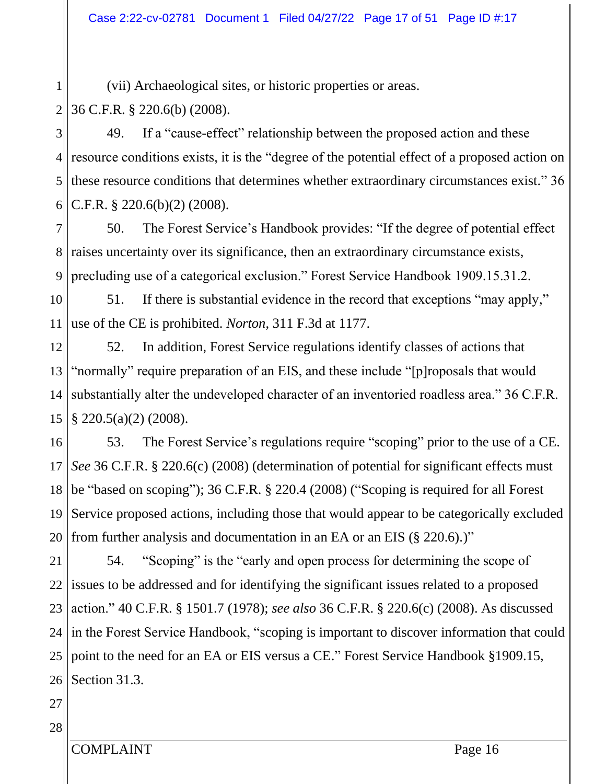1 2 (vii) Archaeological sites, or historic properties or areas. 36 C.F.R. § 220.6(b) (2008).

3 4II 5 6 49. If a "cause-effect" relationship between the proposed action and these resource conditions exists, it is the "degree of the potential effect of a proposed action on these resource conditions that determines whether extraordinary circumstances exist." 36 C.F.R. § 220.6(b)(2) (2008).

7 811 9 50. The Forest Service's Handbook provides: "If the degree of potential effect raises uncertainty over its significance, then an extraordinary circumstance exists, precluding use of a categorical exclusion." Forest Service Handbook 1909.15.31.2.

10 11 51. If there is substantial evidence in the record that exceptions "may apply," use of the CE is prohibited. *Norton*, 311 F.3d at 1177.

12 13 14 15 52. In addition, Forest Service regulations identify classes of actions that "normally" require preparation of an EIS, and these include "[p]roposals that would substantially alter the undeveloped character of an inventoried roadless area." 36 C.F.R. § 220.5(a)(2) (2008).

16 17 18 19 20 53. The Forest Service's regulations require "scoping" prior to the use of a CE. *See* 36 C.F.R. § 220.6(c) (2008) (determination of potential for significant effects must be "based on scoping"); 36 C.F.R. § 220.4 (2008) ("Scoping is required for all Forest Service proposed actions, including those that would appear to be categorically excluded from further analysis and documentation in an EA or an EIS (§ 220.6).)"

21 22<sup>||</sup> 23 24 25 26 54. "Scoping" is the "early and open process for determining the scope of issues to be addressed and for identifying the significant issues related to a proposed action." 40 C.F.R. § 1501.7 (1978); *see also* 36 C.F.R. § 220.6(c) (2008). As discussed in the Forest Service Handbook, "scoping is important to discover information that could point to the need for an EA or EIS versus a CE." Forest Service Handbook §1909.15, Section 31.3.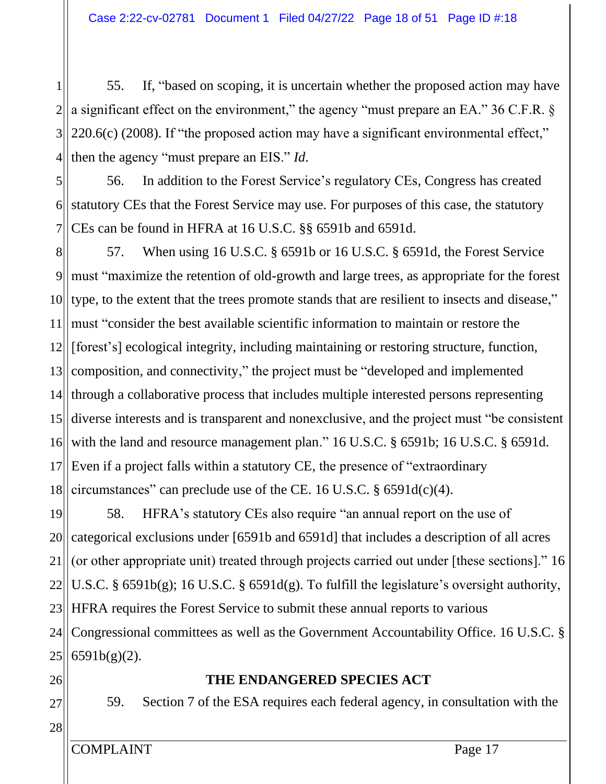1 2 3 4 55. If, "based on scoping, it is uncertain whether the proposed action may have a significant effect on the environment," the agency "must prepare an EA." 36 C.F.R. § 220.6(c) (2008). If "the proposed action may have a significant environmental effect," then the agency "must prepare an EIS." *Id*.

5  $6$ 7 56. In addition to the Forest Service's regulatory CEs, Congress has created statutory CEs that the Forest Service may use. For purposes of this case, the statutory CEs can be found in HFRA at 16 U.S.C. §§ 6591b and 6591d.

8 9 10 11 12  $13$  $14$ ||  $15$ 16 17 18 57. When using 16 U.S.C. § 6591b or 16 U.S.C. § 6591d, the Forest Service must "maximize the retention of old-growth and large trees, as appropriate for the forest type, to the extent that the trees promote stands that are resilient to insects and disease," must "consider the best available scientific information to maintain or restore the [forest's] ecological integrity, including maintaining or restoring structure, function, composition, and connectivity," the project must be "developed and implemented through a collaborative process that includes multiple interested persons representing diverse interests and is transparent and nonexclusive, and the project must "be consistent with the land and resource management plan." 16 U.S.C. § 6591b; 16 U.S.C. § 6591d. Even if a project falls within a statutory CE, the presence of "extraordinary circumstances" can preclude use of the CE. 16 U.S.C. § 6591d(c)(4).

19 20 21  $22$ 23 24 25 58. HFRA's statutory CEs also require "an annual report on the use of categorical exclusions under [6591b and 6591d] that includes a description of all acres (or other appropriate unit) treated through projects carried out under [these sections]." 16 U.S.C. § 6591b(g); 16 U.S.C. § 6591d(g). To fulfill the legislature's oversight authority, HFRA requires the Forest Service to submit these annual reports to various Congressional committees as well as the Government Accountability Office. 16 U.S.C. § 6591b(g)(2).

- 26
- 27

28

## **THE ENDANGERED SPECIES ACT**

59. Section 7 of the ESA requires each federal agency, in consultation with the

COMPLAINT Page 17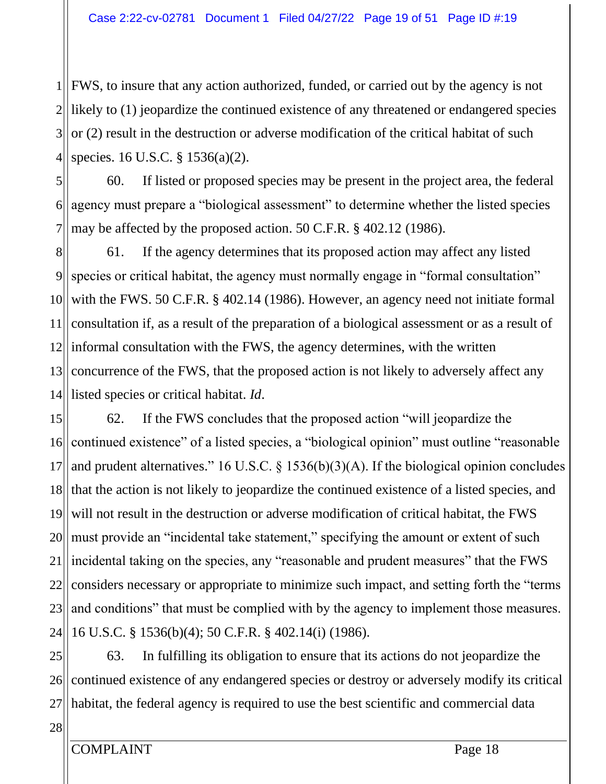1 FWS, to insure that any action authorized, funded, or carried out by the agency is not 2 likely to (1) jeopardize the continued existence of any threatened or endangered species 3  $4$ or (2) result in the destruction or adverse modification of the critical habitat of such species. 16 U.S.C. § 1536(a)(2).

5  $6$ 7 60. If listed or proposed species may be present in the project area, the federal agency must prepare a "biological assessment" to determine whether the listed species may be affected by the proposed action. 50 C.F.R. § 402.12 (1986).

8 9 10 11 12 13  $14$ || 61. If the agency determines that its proposed action may affect any listed species or critical habitat, the agency must normally engage in "formal consultation" with the FWS. 50 C.F.R. § 402.14 (1986). However, an agency need not initiate formal consultation if, as a result of the preparation of a biological assessment or as a result of informal consultation with the FWS, the agency determines, with the written concurrence of the FWS, that the proposed action is not likely to adversely affect any listed species or critical habitat. *Id*.

15 16 17 18 19 20 21 22 23 24 62. If the FWS concludes that the proposed action "will jeopardize the continued existence" of a listed species, a "biological opinion" must outline "reasonable and prudent alternatives." 16 U.S.C. § 1536(b)(3)(A). If the biological opinion concludes that the action is not likely to jeopardize the continued existence of a listed species, and will not result in the destruction or adverse modification of critical habitat, the FWS must provide an "incidental take statement," specifying the amount or extent of such incidental taking on the species, any "reasonable and prudent measures" that the FWS considers necessary or appropriate to minimize such impact, and setting forth the "terms and conditions" that must be complied with by the agency to implement those measures. 16 U.S.C. § 1536(b)(4); 50 C.F.R. § 402.14(i) (1986).

25 26 27 63. In fulfilling its obligation to ensure that its actions do not jeopardize the continued existence of any endangered species or destroy or adversely modify its critical habitat, the federal agency is required to use the best scientific and commercial data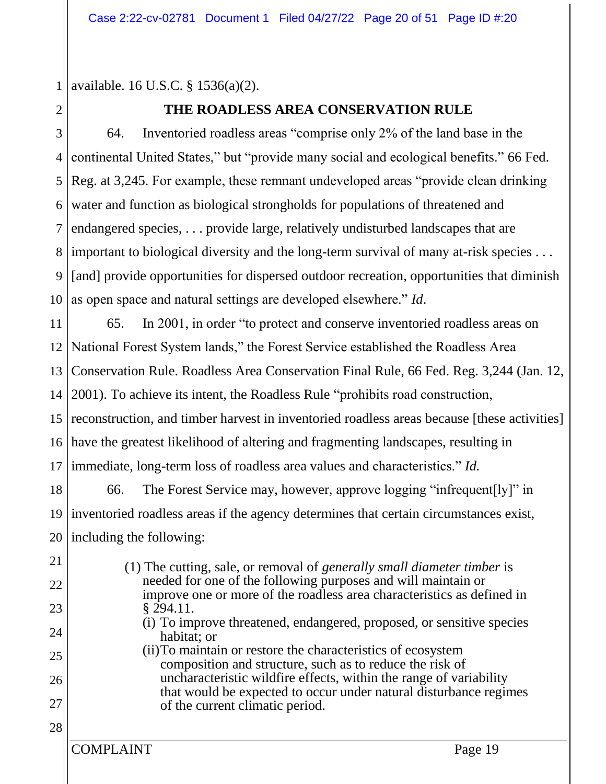1 available. 16 U.S.C. § 1536(a)(2).

# 2

# **THE ROADLESS AREA CONSERVATION RULE**

3 4 5 6 7 81 9 10 64. Inventoried roadless areas "comprise only 2% of the land base in the continental United States," but "provide many social and ecological benefits." 66 Fed. Reg. at 3,245. For example, these remnant undeveloped areas "provide clean drinking water and function as biological strongholds for populations of threatened and endangered species, . . . provide large, relatively undisturbed landscapes that are important to biological diversity and the long-term survival of many at-risk species . . . [and] provide opportunities for dispersed outdoor recreation, opportunities that diminish as open space and natural settings are developed elsewhere." *Id*.

11 12 13  $14$ 15 reconstruction, and timber harvest in inventoried roadless areas because [these activities] 16 17 18 65. In 2001, in order "to protect and conserve inventoried roadless areas on National Forest System lands," the Forest Service established the Roadless Area Conservation Rule. Roadless Area Conservation Final Rule, 66 Fed. Reg. 3,244 (Jan. 12, 2001). To achieve its intent, the Roadless Rule "prohibits road construction, have the greatest likelihood of altering and fragmenting landscapes, resulting in immediate, long-term loss of roadless area values and characteristics." *Id.*  66. The Forest Service may, however, approve logging "infrequent[ly]" in

19 20 inventoried roadless areas if the agency determines that certain circumstances exist, including the following:

22 23 24

28

21

(1) The cutting, sale, or removal of *generally small diameter timber* is needed for one of the following purposes and will maintain or improve one or more of the roadless area characteristics as defined in § 294.11.

- (i) To improve threatened, endangered, proposed, or sensitive species habitat; or
- 25 26 27 (ii)To maintain or restore the characteristics of ecosystem composition and structure, such as to reduce the risk of uncharacteristic wildfire effects, within the range of variability that would be expected to occur under natural disturbance regimes of the current climatic period.

COMPLAINT Page 19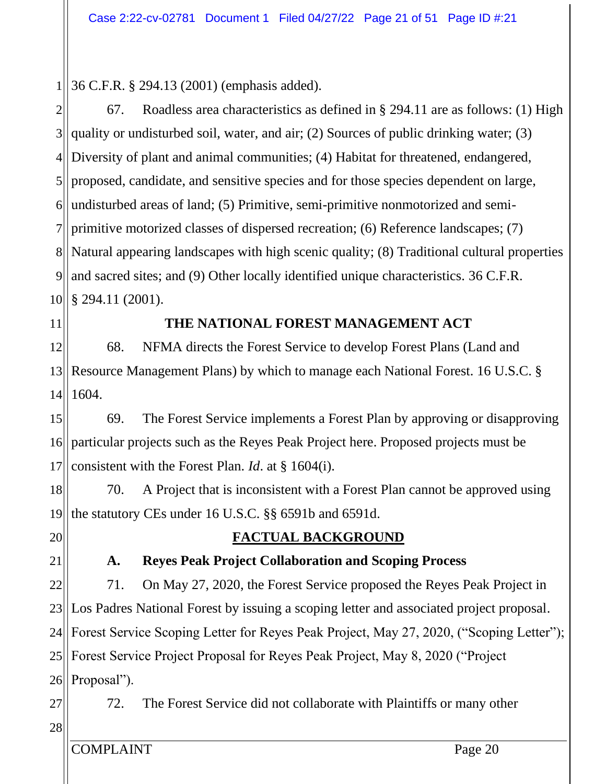1 36 C.F.R. § 294.13 (2001) (emphasis added).

2 3  $4$ 5  $6|$ 7 811 9 10 67. Roadless area characteristics as defined in § 294.11 are as follows: (1) High quality or undisturbed soil, water, and air; (2) Sources of public drinking water; (3) Diversity of plant and animal communities; (4) Habitat for threatened, endangered, proposed, candidate, and sensitive species and for those species dependent on large, undisturbed areas of land; (5) Primitive, semi-primitive nonmotorized and semiprimitive motorized classes of dispersed recreation; (6) Reference landscapes; (7) Natural appearing landscapes with high scenic quality; (8) Traditional cultural properties and sacred sites; and (9) Other locally identified unique characteristics. 36 C.F.R. § 294.11 (2001).

11

## **THE NATIONAL FOREST MANAGEMENT ACT**

12 13 14 68. NFMA directs the Forest Service to develop Forest Plans (Land and Resource Management Plans) by which to manage each National Forest. 16 U.S.C. § 1604.

15 16 17 69. The Forest Service implements a Forest Plan by approving or disapproving particular projects such as the Reyes Peak Project here. Proposed projects must be consistent with the Forest Plan. *Id*. at § 1604(i).

18 19 70. A Project that is inconsistent with a Forest Plan cannot be approved using the statutory CEs under 16 U.S.C. §§ 6591b and 6591d.

20

21

## **FACTUAL BACKGROUND**

## **A. Reyes Peak Project Collaboration and Scoping Process**

22 23 24 25  $26$ 71. On May 27, 2020, the Forest Service proposed the Reyes Peak Project in Los Padres National Forest by issuing a scoping letter and associated project proposal. Forest Service Scoping Letter for Reyes Peak Project, May 27, 2020, ("Scoping Letter"); Forest Service Project Proposal for Reyes Peak Project, May 8, 2020 ("Project Proposal").

27 72. The Forest Service did not collaborate with Plaintiffs or many other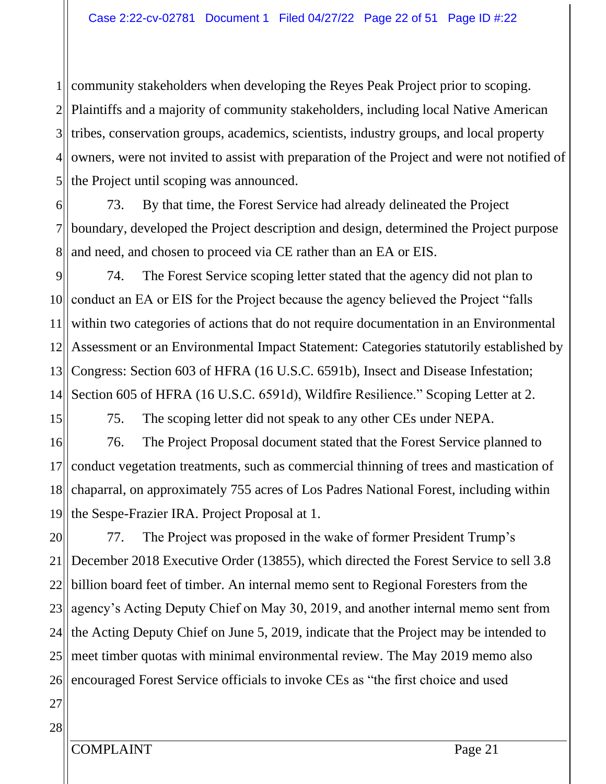1  $2$ 3  $4$ 5 community stakeholders when developing the Reyes Peak Project prior to scoping. Plaintiffs and a majority of community stakeholders, including local Native American tribes, conservation groups, academics, scientists, industry groups, and local property owners, were not invited to assist with preparation of the Project and were not notified of the Project until scoping was announced.

6 7 8 73. By that time, the Forest Service had already delineated the Project boundary, developed the Project description and design, determined the Project purpose and need, and chosen to proceed via CE rather than an EA or EIS.

9 10 11 12 13 14 74. The Forest Service scoping letter stated that the agency did not plan to conduct an EA or EIS for the Project because the agency believed the Project "falls within two categories of actions that do not require documentation in an Environmental Assessment or an Environmental Impact Statement: Categories statutorily established by Congress: Section 603 of HFRA (16 U.S.C. 6591b), Insect and Disease Infestation; Section 605 of HFRA (16 U.S.C. 6591d), Wildfire Resilience." Scoping Letter at 2.

15

75. The scoping letter did not speak to any other CEs under NEPA.

16 17 18 19 76. The Project Proposal document stated that the Forest Service planned to conduct vegetation treatments, such as commercial thinning of trees and mastication of chaparral, on approximately 755 acres of Los Padres National Forest, including within the Sespe-Frazier IRA. Project Proposal at 1.

20 21 22 23 24 25 26 77. The Project was proposed in the wake of former President Trump's December 2018 Executive Order (13855), which directed the Forest Service to sell 3.8 billion board feet of timber. An internal memo sent to Regional Foresters from the agency's Acting Deputy Chief on May 30, 2019, and another internal memo sent from the Acting Deputy Chief on June 5, 2019, indicate that the Project may be intended to meet timber quotas with minimal environmental review. The May 2019 memo also encouraged Forest Service officials to invoke CEs as "the first choice and used

27 28

COMPLAINT Page 21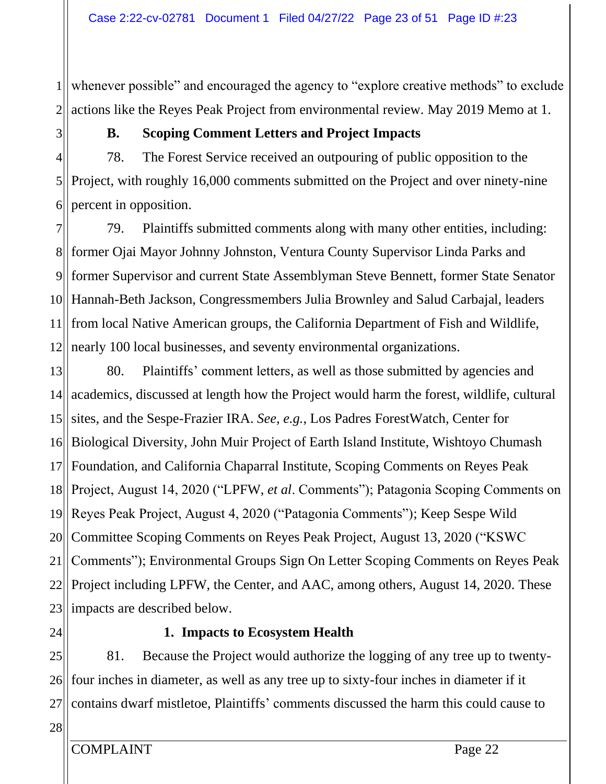1 2 whenever possible" and encouraged the agency to "explore creative methods" to exclude actions like the Reyes Peak Project from environmental review. May 2019 Memo at 1.

3

## **B. Scoping Comment Letters and Project Impacts**

4 5 6 78. The Forest Service received an outpouring of public opposition to the Project, with roughly 16,000 comments submitted on the Project and over ninety-nine percent in opposition.

7 811 9 10 11 12 79. Plaintiffs submitted comments along with many other entities, including: former Ojai Mayor Johnny Johnston, Ventura County Supervisor Linda Parks and former Supervisor and current State Assemblyman Steve Bennett, former State Senator Hannah-Beth Jackson, Congressmembers Julia Brownley and Salud Carbajal, leaders from local Native American groups, the California Department of Fish and Wildlife, nearly 100 local businesses, and seventy environmental organizations.

13 14  $15$ 16 17 18 19 20 21 22 23 80. Plaintiffs' comment letters, as well as those submitted by agencies and academics, discussed at length how the Project would harm the forest, wildlife, cultural sites, and the Sespe-Frazier IRA. *See, e.g.*, Los Padres ForestWatch, Center for Biological Diversity, John Muir Project of Earth Island Institute, Wishtoyo Chumash Foundation, and California Chaparral Institute, Scoping Comments on Reyes Peak Project, August 14, 2020 ("LPFW, *et al*. Comments"); Patagonia Scoping Comments on Reyes Peak Project, August 4, 2020 ("Patagonia Comments"); Keep Sespe Wild Committee Scoping Comments on Reyes Peak Project, August 13, 2020 ("KSWC Comments"); Environmental Groups Sign On Letter Scoping Comments on Reyes Peak Project including LPFW, the Center, and AAC, among others, August 14, 2020. These impacts are described below.

24

## **1. Impacts to Ecosystem Health**

25  $26$ 27 81. Because the Project would authorize the logging of any tree up to twentyfour inches in diameter, as well as any tree up to sixty-four inches in diameter if it contains dwarf mistletoe, Plaintiffs' comments discussed the harm this could cause to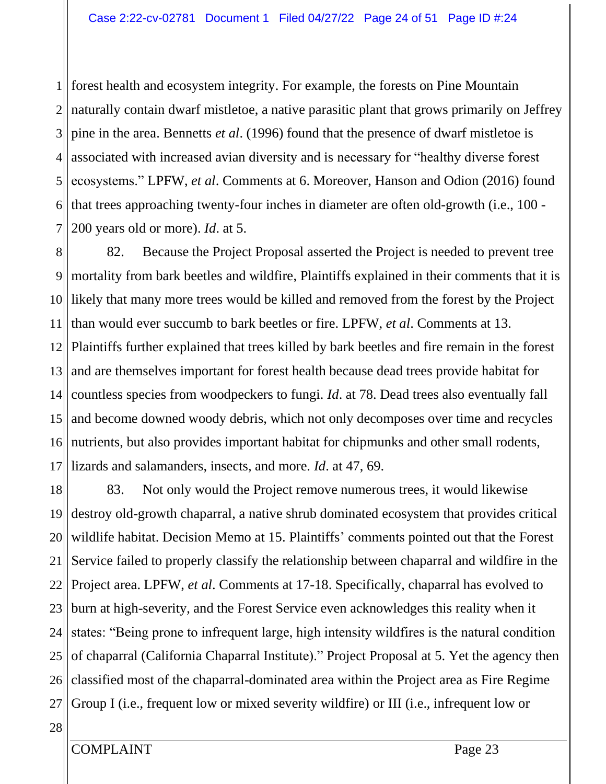1 2 3  $4$ 5 6 7 forest health and ecosystem integrity. For example, the forests on Pine Mountain naturally contain dwarf mistletoe, a native parasitic plant that grows primarily on Jeffrey pine in the area. Bennetts *et al*. (1996) found that the presence of dwarf mistletoe is associated with increased avian diversity and is necessary for "healthy diverse forest ecosystems." LPFW, *et al*. Comments at 6. Moreover, Hanson and Odion (2016) found that trees approaching twenty-four inches in diameter are often old-growth (i.e., 100 - 200 years old or more). *Id*. at 5.

8 9 10 11 12 13 14 15 16 17 82. Because the Project Proposal asserted the Project is needed to prevent tree mortality from bark beetles and wildfire, Plaintiffs explained in their comments that it is likely that many more trees would be killed and removed from the forest by the Project than would ever succumb to bark beetles or fire. LPFW, *et al*. Comments at 13. Plaintiffs further explained that trees killed by bark beetles and fire remain in the forest and are themselves important for forest health because dead trees provide habitat for countless species from woodpeckers to fungi. *Id*. at 78. Dead trees also eventually fall and become downed woody debris, which not only decomposes over time and recycles nutrients, but also provides important habitat for chipmunks and other small rodents, lizards and salamanders, insects, and more. *Id*. at 47, 69.

18 19 20 21 22<sup>||</sup> 23 24 25 26 27 83. Not only would the Project remove numerous trees, it would likewise destroy old-growth chaparral, a native shrub dominated ecosystem that provides critical wildlife habitat. Decision Memo at 15. Plaintiffs' comments pointed out that the Forest Service failed to properly classify the relationship between chaparral and wildfire in the Project area. LPFW, *et al*. Comments at 17-18. Specifically, chaparral has evolved to burn at high-severity, and the Forest Service even acknowledges this reality when it states: "Being prone to infrequent large, high intensity wildfires is the natural condition of chaparral (California Chaparral Institute)." Project Proposal at 5. Yet the agency then classified most of the chaparral-dominated area within the Project area as Fire Regime Group I (i.e., frequent low or mixed severity wildfire) or III (i.e., infrequent low or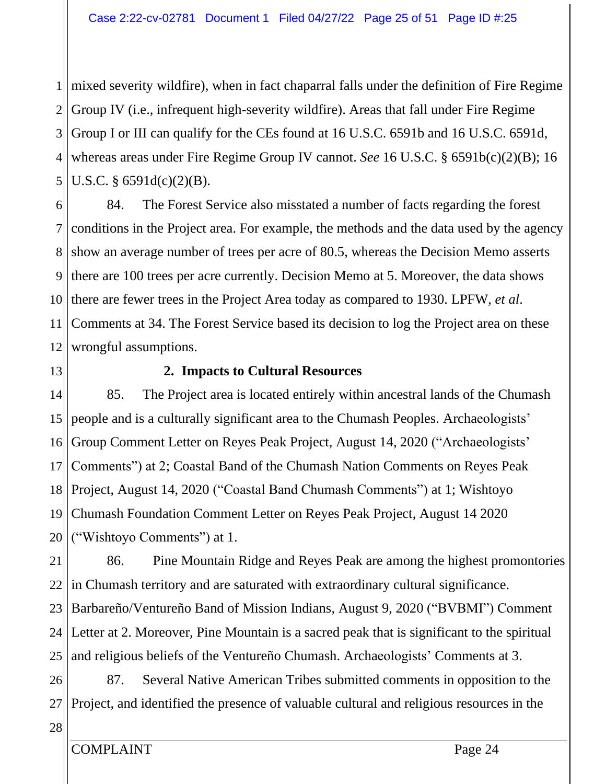1 mixed severity wildfire), when in fact chaparral falls under the definition of Fire Regime  $2$  $3$  $4$ 5 Group IV (i.e., infrequent high-severity wildfire). Areas that fall under Fire Regime Group I or III can qualify for the CEs found at 16 U.S.C. 6591b and 16 U.S.C. 6591d, whereas areas under Fire Regime Group IV cannot. *See* 16 U.S.C. § 6591b(c)(2)(B); 16 U.S.C. § 6591d(c)(2)(B).

6 7 81 9 10 11 12 84. The Forest Service also misstated a number of facts regarding the forest conditions in the Project area. For example, the methods and the data used by the agency show an average number of trees per acre of 80.5, whereas the Decision Memo asserts there are 100 trees per acre currently. Decision Memo at 5. Moreover, the data shows there are fewer trees in the Project Area today as compared to 1930. LPFW, *et al*. Comments at 34. The Forest Service based its decision to log the Project area on these wrongful assumptions.

13

## **2. Impacts to Cultural Resources**

14 15 16 17 18 19 20 85. The Project area is located entirely within ancestral lands of the Chumash people and is a culturally significant area to the Chumash Peoples. Archaeologists' Group Comment Letter on Reyes Peak Project, August 14, 2020 ("Archaeologists' Comments") at 2; Coastal Band of the Chumash Nation Comments on Reyes Peak Project, August 14, 2020 ("Coastal Band Chumash Comments") at 1; Wishtoyo Chumash Foundation Comment Letter on Reyes Peak Project, August 14 2020 ("Wishtoyo Comments") at 1.

21 22<sup>||</sup> 23 24 25 86. Pine Mountain Ridge and Reyes Peak are among the highest promontories in Chumash territory and are saturated with extraordinary cultural significance. Barbareño/Ventureño Band of Mission Indians, August 9, 2020 ("BVBMI") Comment Letter at 2. Moreover, Pine Mountain is a sacred peak that is significant to the spiritual and religious beliefs of the Ventureño Chumash. Archaeologists' Comments at 3.

26 27 87. Several Native American Tribes submitted comments in opposition to the Project, and identified the presence of valuable cultural and religious resources in the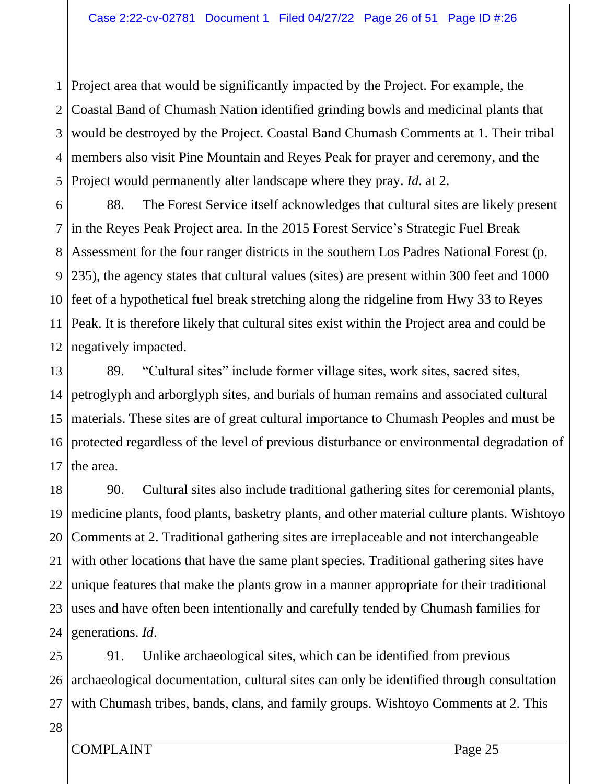$1$ ||  $2$ 3  $4$ 5 Project area that would be significantly impacted by the Project. For example, the Coastal Band of Chumash Nation identified grinding bowls and medicinal plants that would be destroyed by the Project. Coastal Band Chumash Comments at 1. Their tribal members also visit Pine Mountain and Reyes Peak for prayer and ceremony, and the Project would permanently alter landscape where they pray. *Id*. at 2.

6  $7$ || 8<sup>II</sup> 9 235), the agency states that cultural values (sites) are present within 300 feet and 1000 10 11 12 88. The Forest Service itself acknowledges that cultural sites are likely present in the Reyes Peak Project area. In the 2015 Forest Service's Strategic Fuel Break Assessment for the four ranger districts in the southern Los Padres National Forest (p. feet of a hypothetical fuel break stretching along the ridgeline from Hwy 33 to Reyes Peak. It is therefore likely that cultural sites exist within the Project area and could be negatively impacted.

13 14 15 16 17 89. "Cultural sites" include former village sites, work sites, sacred sites, petroglyph and arborglyph sites, and burials of human remains and associated cultural materials. These sites are of great cultural importance to Chumash Peoples and must be protected regardless of the level of previous disturbance or environmental degradation of the area.

18 19 20 21 22 23 24 90. Cultural sites also include traditional gathering sites for ceremonial plants, medicine plants, food plants, basketry plants, and other material culture plants. Wishtoyo Comments at 2. Traditional gathering sites are irreplaceable and not interchangeable with other locations that have the same plant species. Traditional gathering sites have unique features that make the plants grow in a manner appropriate for their traditional uses and have often been intentionally and carefully tended by Chumash families for generations. *Id*.

25 26 27 91. Unlike archaeological sites, which can be identified from previous archaeological documentation, cultural sites can only be identified through consultation with Chumash tribes, bands, clans, and family groups. Wishtoyo Comments at 2. This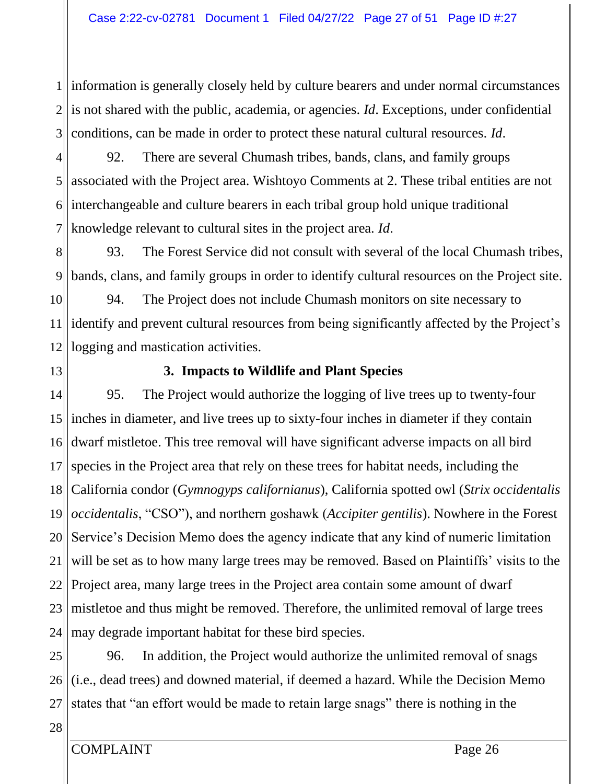$1$ ||  $2$ 3 information is generally closely held by culture bearers and under normal circumstances is not shared with the public, academia, or agencies. *Id*. Exceptions, under confidential conditions, can be made in order to protect these natural cultural resources. *Id*.

4 5  $6$ 7 92. There are several Chumash tribes, bands, clans, and family groups associated with the Project area. Wishtoyo Comments at 2. These tribal entities are not interchangeable and culture bearers in each tribal group hold unique traditional knowledge relevant to cultural sites in the project area. *Id*.

8 9 93. The Forest Service did not consult with several of the local Chumash tribes, bands, clans, and family groups in order to identify cultural resources on the Project site.

10 11 12 94. The Project does not include Chumash monitors on site necessary to identify and prevent cultural resources from being significantly affected by the Project's logging and mastication activities.

13

## **3. Impacts to Wildlife and Plant Species**

14  $15$ 16 17 18 19 20 21 22<sup>||</sup> 23 24 95. The Project would authorize the logging of live trees up to twenty-four inches in diameter, and live trees up to sixty-four inches in diameter if they contain dwarf mistletoe. This tree removal will have significant adverse impacts on all bird species in the Project area that rely on these trees for habitat needs, including the California condor (*Gymnogyps californianus*), California spotted owl (*Strix occidentalis occidentalis*, "CSO"), and northern goshawk (*Accipiter gentilis*). Nowhere in the Forest Service's Decision Memo does the agency indicate that any kind of numeric limitation will be set as to how many large trees may be removed. Based on Plaintiffs' visits to the Project area, many large trees in the Project area contain some amount of dwarf mistletoe and thus might be removed. Therefore, the unlimited removal of large trees may degrade important habitat for these bird species.

25 26 27 96. In addition, the Project would authorize the unlimited removal of snags (i.e., dead trees) and downed material, if deemed a hazard. While the Decision Memo states that "an effort would be made to retain large snags" there is nothing in the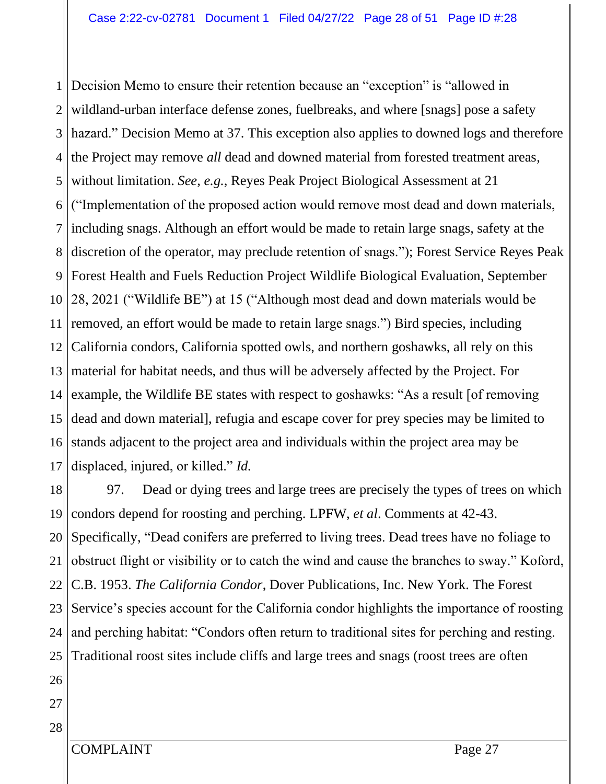$1$ || 2  $3$  $4$ 5 6  $7$ || 8 9 10 11 12 131 14 15 16 17 Decision Memo to ensure their retention because an "exception" is "allowed in wildland-urban interface defense zones, fuelbreaks, and where [snags] pose a safety hazard." Decision Memo at 37. This exception also applies to downed logs and therefore the Project may remove *all* dead and downed material from forested treatment areas, without limitation. *See, e.g.,* Reyes Peak Project Biological Assessment at 21 ("Implementation of the proposed action would remove most dead and down materials, including snags. Although an effort would be made to retain large snags, safety at the discretion of the operator, may preclude retention of snags."); Forest Service Reyes Peak Forest Health and Fuels Reduction Project Wildlife Biological Evaluation, September 28, 2021 ("Wildlife BE") at 15 ("Although most dead and down materials would be removed, an effort would be made to retain large snags.") Bird species, including California condors, California spotted owls, and northern goshawks, all rely on this material for habitat needs, and thus will be adversely affected by the Project. For example, the Wildlife BE states with respect to goshawks: "As a result [of removing dead and down material], refugia and escape cover for prey species may be limited to stands adjacent to the project area and individuals within the project area may be displaced, injured, or killed." *Id.*

18 19 20 21 22 23 24 25 97. Dead or dying trees and large trees are precisely the types of trees on which condors depend for roosting and perching. LPFW, *et al*. Comments at 42-43. Specifically, "Dead conifers are preferred to living trees. Dead trees have no foliage to obstruct flight or visibility or to catch the wind and cause the branches to sway." Koford, C.B. 1953. *The California Condor*, Dover Publications, Inc. New York. The Forest Service's species account for the California condor highlights the importance of roosting and perching habitat: "Condors often return to traditional sites for perching and resting. Traditional roost sites include cliffs and large trees and snags (roost trees are often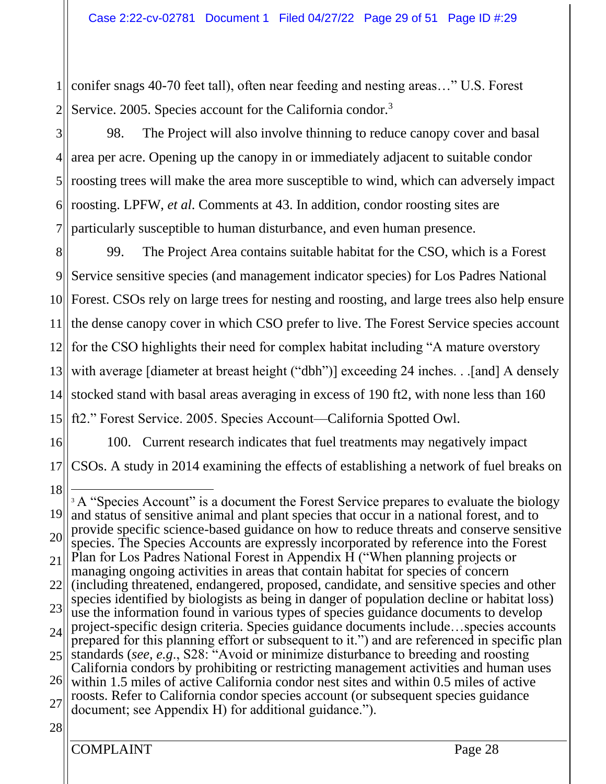1 2 conifer snags 40-70 feet tall), often near feeding and nesting areas…" U.S. Forest Service. 2005. Species account for the California condor.<sup>3</sup>

3  $4$ 5 6 7 98. The Project will also involve thinning to reduce canopy cover and basal area per acre. Opening up the canopy in or immediately adjacent to suitable condor roosting trees will make the area more susceptible to wind, which can adversely impact roosting. LPFW, *et al*. Comments at 43. In addition, condor roosting sites are particularly susceptible to human disturbance, and even human presence.

8 9 10 11 12 13 14 15 99. The Project Area contains suitable habitat for the CSO, which is a Forest Service sensitive species (and management indicator species) for Los Padres National Forest. CSOs rely on large trees for nesting and roosting, and large trees also help ensure the dense canopy cover in which CSO prefer to live. The Forest Service species account for the CSO highlights their need for complex habitat including "A mature overstory with average [diameter at breast height ("dbh")] exceeding 24 inches. . .[and] A densely stocked stand with basal areas averaging in excess of 190 ft2, with none less than 160 ft2." Forest Service. 2005. Species Account—California Spotted Owl.

16 17 18 100. Current research indicates that fuel treatments may negatively impact CSOs. A study in 2014 examining the effects of establishing a network of fuel breaks on

<sup>19</sup> 20 21 22 23 24 25 26 27 <sup>3</sup> A "Species Account" is a document the Forest Service prepares to evaluate the biology and status of sensitive animal and plant species that occur in a national forest, and to provide specific science-based guidance on how to reduce threats and conserve sensitive species. The Species Accounts are expressly incorporated by reference into the Forest Plan for Los Padres National Forest in Appendix H ("When planning projects or managing ongoing activities in areas that contain habitat for species of concern (including threatened, endangered, proposed, candidate, and sensitive species and other species identified by biologists as being in danger of population decline or habitat loss) use the information found in various types of species guidance documents to develop project-specific design criteria. Species guidance documents include…species accounts prepared for this planning effort or subsequent to it.") and are referenced in specific plan standards (*see, e.g*., S28: "Avoid or minimize disturbance to breeding and roosting California condors by prohibiting or restricting management activities and human uses within 1.5 miles of active California condor nest sites and within 0.5 miles of active roosts. Refer to California condor species account (or subsequent species guidance document; see Appendix H) for additional guidance.").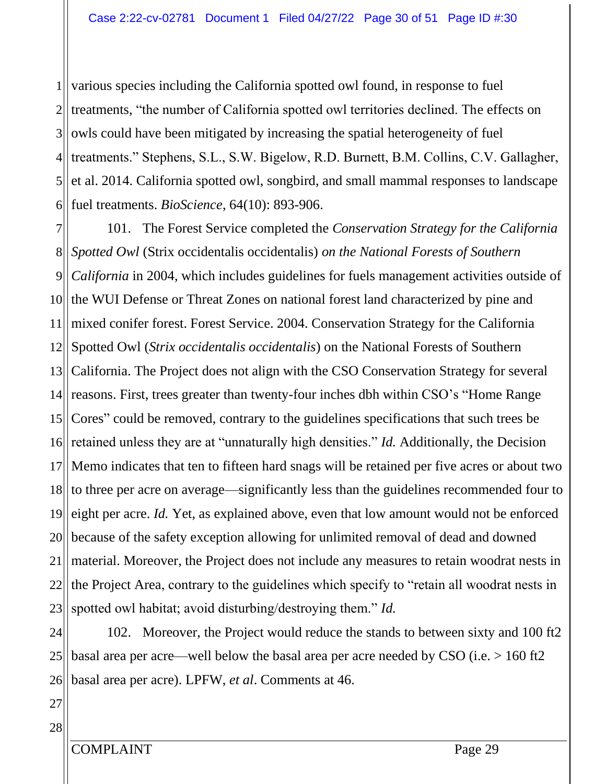1 2 3  $4$ 5  $6$ various species including the California spotted owl found, in response to fuel treatments, "the number of California spotted owl territories declined. The effects on owls could have been mitigated by increasing the spatial heterogeneity of fuel treatments." Stephens, S.L., S.W. Bigelow, R.D. Burnett, B.M. Collins, C.V. Gallagher, et al. 2014. California spotted owl, songbird, and small mammal responses to landscape fuel treatments. *BioScience*, 64(10): 893-906.

7 81 9 10 11 12  $13$  $14$ ||  $15$ 16 17 18 19 20 21 22 23 101. The Forest Service completed the *Conservation Strategy for the California Spotted Owl* (Strix occidentalis occidentalis) *on the National Forests of Southern California* in 2004, which includes guidelines for fuels management activities outside of the WUI Defense or Threat Zones on national forest land characterized by pine and mixed conifer forest. Forest Service. 2004. Conservation Strategy for the California Spotted Owl (*Strix occidentalis occidentalis*) on the National Forests of Southern California. The Project does not align with the CSO Conservation Strategy for several reasons. First, trees greater than twenty-four inches dbh within CSO's "Home Range Cores" could be removed, contrary to the guidelines specifications that such trees be retained unless they are at "unnaturally high densities." *Id.* Additionally, the Decision Memo indicates that ten to fifteen hard snags will be retained per five acres or about two to three per acre on average—significantly less than the guidelines recommended four to eight per acre. *Id.* Yet, as explained above, even that low amount would not be enforced because of the safety exception allowing for unlimited removal of dead and downed material. Moreover, the Project does not include any measures to retain woodrat nests in the Project Area, contrary to the guidelines which specify to "retain all woodrat nests in spotted owl habitat; avoid disturbing/destroying them." *Id.*

24 25 26 102. Moreover, the Project would reduce the stands to between sixty and 100 ft2 basal area per acre—well below the basal area per acre needed by CSO (i.e. > 160 ft2 basal area per acre). LPFW, *et al*. Comments at 46.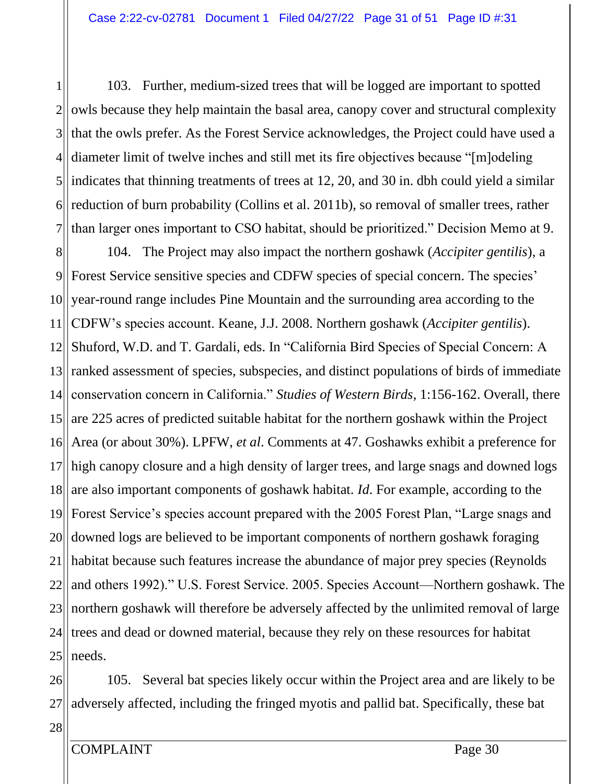1 2 3 4 5 6 7 103. Further, medium-sized trees that will be logged are important to spotted owls because they help maintain the basal area, canopy cover and structural complexity that the owls prefer. As the Forest Service acknowledges, the Project could have used a diameter limit of twelve inches and still met its fire objectives because "[m]odeling indicates that thinning treatments of trees at 12, 20, and 30 in. dbh could yield a similar reduction of burn probability (Collins et al. 2011b), so removal of smaller trees, rather than larger ones important to CSO habitat, should be prioritized." Decision Memo at 9.

8 9 10 11 12 13 14 15 16 17 18 19 20 21 22 23 24 25 104. The Project may also impact the northern goshawk (*Accipiter gentilis*), a Forest Service sensitive species and CDFW species of special concern. The species' year-round range includes Pine Mountain and the surrounding area according to the CDFW's species account. Keane, J.J. 2008. Northern goshawk (*Accipiter gentilis*). Shuford, W.D. and T. Gardali, eds. In "California Bird Species of Special Concern: A ranked assessment of species, subspecies, and distinct populations of birds of immediate conservation concern in California." *Studies of Western Birds*, 1:156-162. Overall, there are 225 acres of predicted suitable habitat for the northern goshawk within the Project Area (or about 30%). LPFW, *et al*. Comments at 47. Goshawks exhibit a preference for high canopy closure and a high density of larger trees, and large snags and downed logs are also important components of goshawk habitat. *Id*. For example, according to the Forest Service's species account prepared with the 2005 Forest Plan, "Large snags and downed logs are believed to be important components of northern goshawk foraging habitat because such features increase the abundance of major prey species (Reynolds and others 1992)." U.S. Forest Service. 2005. Species Account—Northern goshawk. The northern goshawk will therefore be adversely affected by the unlimited removal of large trees and dead or downed material, because they rely on these resources for habitat needs.

26 27 105. Several bat species likely occur within the Project area and are likely to be adversely affected, including the fringed myotis and pallid bat. Specifically, these bat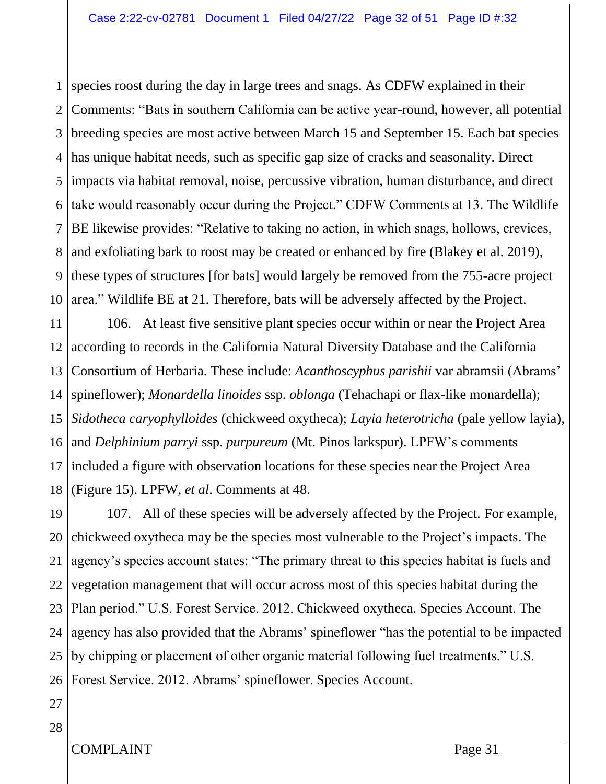1 2 3  $4$  $5$ II  $6$  $7$ || 8 9 10 species roost during the day in large trees and snags. As CDFW explained in their Comments: "Bats in southern California can be active year-round, however, all potential breeding species are most active between March 15 and September 15. Each bat species has unique habitat needs, such as specific gap size of cracks and seasonality. Direct impacts via habitat removal, noise, percussive vibration, human disturbance, and direct take would reasonably occur during the Project." CDFW Comments at 13. The Wildlife BE likewise provides: "Relative to taking no action, in which snags, hollows, crevices, and exfoliating bark to roost may be created or enhanced by fire (Blakey et al. 2019), these types of structures [for bats] would largely be removed from the 755-acre project area." Wildlife BE at 21. Therefore, bats will be adversely affected by the Project.

11 12 13 14 15 16 17 18 106. At least five sensitive plant species occur within or near the Project Area according to records in the California Natural Diversity Database and the California Consortium of Herbaria. These include: *Acanthoscyphus parishii* var abramsii (Abrams' spineflower); *Monardella linoides* ssp. *oblonga* (Tehachapi or flax-like monardella); *Sidotheca caryophylloides* (chickweed oxytheca); *Layia heterotricha* (pale yellow layia), and *Delphinium parryi* ssp. *purpureum* (Mt. Pinos larkspur). LPFW's comments included a figure with observation locations for these species near the Project Area (Figure 15). LPFW, *et al*. Comments at 48.

19 20 21 22 23 24 25 26 107. All of these species will be adversely affected by the Project. For example, chickweed oxytheca may be the species most vulnerable to the Project's impacts. The agency's species account states: "The primary threat to this species habitat is fuels and vegetation management that will occur across most of this species habitat during the Plan period." U.S. Forest Service. 2012. Chickweed oxytheca. Species Account. The agency has also provided that the Abrams' spineflower "has the potential to be impacted by chipping or placement of other organic material following fuel treatments." U.S. Forest Service. 2012. Abrams' spineflower. Species Account.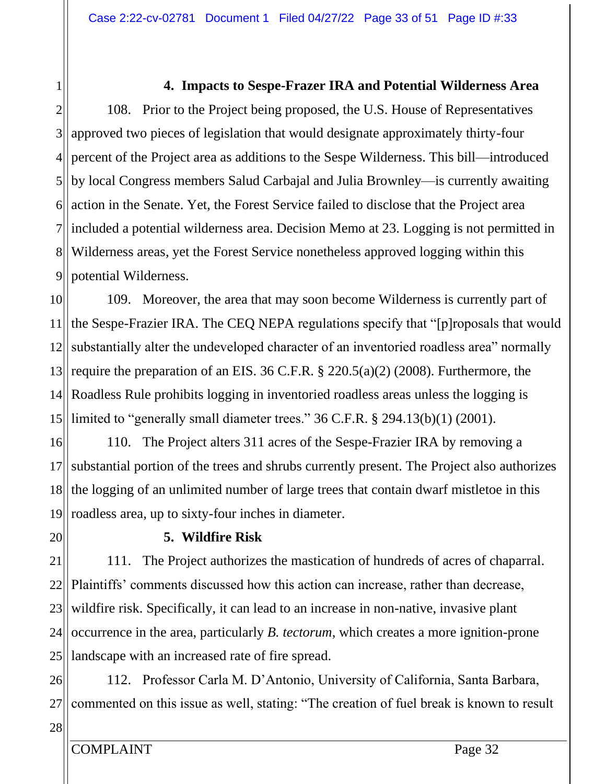## **4. Impacts to Sespe-Frazer IRA and Potential Wilderness Area**

2 3 4 5  $6$  $7$ || 81 9 108. Prior to the Project being proposed, the U.S. House of Representatives approved two pieces of legislation that would designate approximately thirty-four percent of the Project area as additions to the Sespe Wilderness. This bill—introduced by local Congress members Salud Carbajal and Julia Brownley—is currently awaiting action in the Senate. Yet, the Forest Service failed to disclose that the Project area included a potential wilderness area. Decision Memo at 23. Logging is not permitted in Wilderness areas, yet the Forest Service nonetheless approved logging within this potential Wilderness.

10 11 12  $13$ 14  $15$ 109. Moreover, the area that may soon become Wilderness is currently part of the Sespe-Frazier IRA. The CEQ NEPA regulations specify that "[p]roposals that would substantially alter the undeveloped character of an inventoried roadless area" normally require the preparation of an EIS. 36 C.F.R. § 220.5(a)(2) (2008). Furthermore, the Roadless Rule prohibits logging in inventoried roadless areas unless the logging is limited to "generally small diameter trees." 36 C.F.R. § 294.13(b)(1) (2001).

16 17 18 19 110. The Project alters 311 acres of the Sespe-Frazier IRA by removing a substantial portion of the trees and shrubs currently present. The Project also authorizes the logging of an unlimited number of large trees that contain dwarf mistletoe in this roadless area, up to sixty-four inches in diameter.

20

1

## **5. Wildfire Risk**

21 22<sup>||</sup> 23 24 25 111. The Project authorizes the mastication of hundreds of acres of chaparral. Plaintiffs' comments discussed how this action can increase, rather than decrease, wildfire risk. Specifically, it can lead to an increase in non-native, invasive plant occurrence in the area, particularly *B. tectorum*, which creates a more ignition-prone landscape with an increased rate of fire spread.

26 27 112. Professor Carla M. D'Antonio, University of California, Santa Barbara, commented on this issue as well, stating: "The creation of fuel break is known to result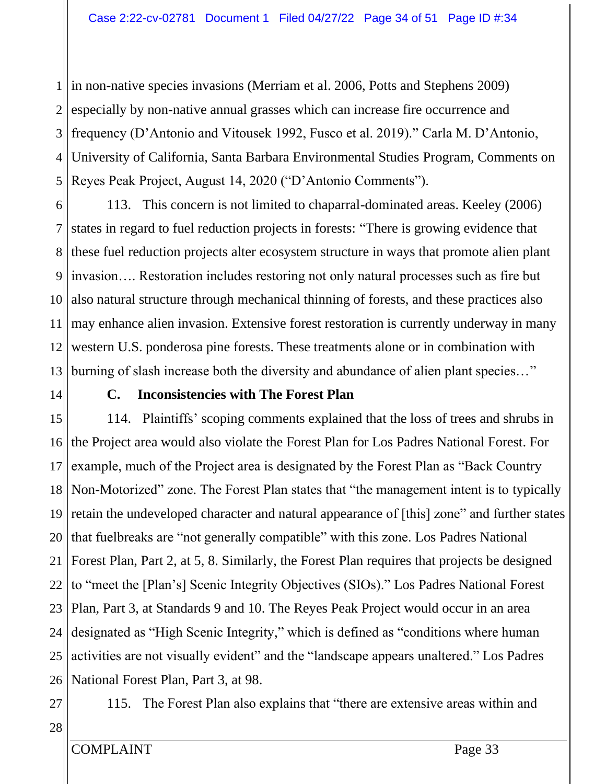$1$ || 2  $3$  $4$ 5 in non-native species invasions (Merriam et al. 2006, Potts and Stephens 2009) especially by non-native annual grasses which can increase fire occurrence and frequency (D'Antonio and Vitousek 1992, Fusco et al. 2019)." Carla M. D'Antonio, University of California, Santa Barbara Environmental Studies Program, Comments on Reyes Peak Project, August 14, 2020 ("D'Antonio Comments").

6 7 8  $9$ 10 11 12 13 113. This concern is not limited to chaparral-dominated areas. Keeley (2006) states in regard to fuel reduction projects in forests: "There is growing evidence that these fuel reduction projects alter ecosystem structure in ways that promote alien plant invasion…. Restoration includes restoring not only natural processes such as fire but also natural structure through mechanical thinning of forests, and these practices also may enhance alien invasion. Extensive forest restoration is currently underway in many western U.S. ponderosa pine forests. These treatments alone or in combination with burning of slash increase both the diversity and abundance of alien plant species..."

14

## **C. Inconsistencies with The Forest Plan**

15 16 17 18 19 20 21 22<sup>||</sup> 23 24 25  $26$ 114. Plaintiffs' scoping comments explained that the loss of trees and shrubs in the Project area would also violate the Forest Plan for Los Padres National Forest. For example, much of the Project area is designated by the Forest Plan as "Back Country Non-Motorized" zone. The Forest Plan states that "the management intent is to typically retain the undeveloped character and natural appearance of [this] zone" and further states that fuelbreaks are "not generally compatible" with this zone. Los Padres National Forest Plan, Part 2, at 5, 8. Similarly, the Forest Plan requires that projects be designed to "meet the [Plan's] Scenic Integrity Objectives (SIOs)." Los Padres National Forest Plan, Part 3, at Standards 9 and 10. The Reyes Peak Project would occur in an area designated as "High Scenic Integrity," which is defined as "conditions where human activities are not visually evident" and the "landscape appears unaltered." Los Padres National Forest Plan, Part 3, at 98.

27

115. The Forest Plan also explains that "there are extensive areas within and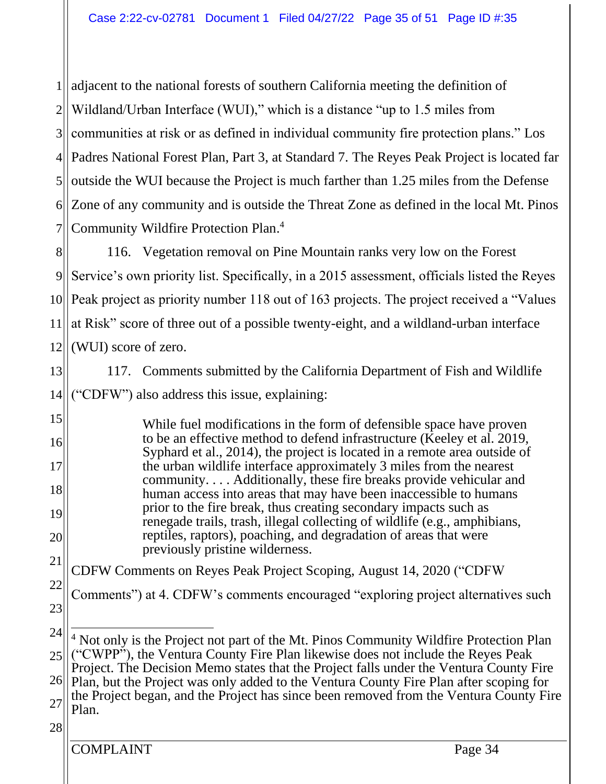1  $2$ 3  $4$ 5  $6$ 7 adjacent to the national forests of southern California meeting the definition of Wildland/Urban Interface (WUI)," which is a distance "up to 1.5 miles from communities at risk or as defined in individual community fire protection plans." Los Padres National Forest Plan, Part 3, at Standard 7. The Reyes Peak Project is located far outside the WUI because the Project is much farther than 1.25 miles from the Defense Zone of any community and is outside the Threat Zone as defined in the local Mt. Pinos Community Wildfire Protection Plan. 4

8 9 10 11 12 116. Vegetation removal on Pine Mountain ranks very low on the Forest Service's own priority list. Specifically, in a 2015 assessment, officials listed the Reyes Peak project as priority number 118 out of 163 projects. The project received a "Values" at Risk" score of three out of a possible twenty-eight, and a wildland-urban interface (WUI) score of zero.

13 14 117. Comments submitted by the California Department of Fish and Wildlife ("CDFW") also address this issue, explaining:

While fuel modifications in the form of defensible space have proven to be an effective method to defend infrastructure (Keeley et al. 2019, Syphard et al., 2014), the project is located in a remote area outside of the urban wildlife interface approximately 3 miles from the nearest community. . . . Additionally, these fire breaks provide vehicular and human access into areas that may have been inaccessible to humans prior to the fire break, thus creating secondary impacts such as renegade trails, trash, illegal collecting of wildlife (e.g., amphibians, reptiles, raptors), poaching, and degradation of areas that were previously pristine wilderness.

CDFW Comments on Reyes Peak Project Scoping, August 14, 2020 ("CDFW

22 23 Comments") at 4. CDFW's comments encouraged "exploring project alternatives such

#### 28

15

16

17

18

19

20

21

COMPLAINT Page 34

<sup>24</sup> 25  $26$ 27 <sup>4</sup> Not only is the Project not part of the Mt. Pinos Community Wildfire Protection Plan ("CWPP"), the Ventura County Fire Plan likewise does not include the Reyes Peak Project. The Decision Memo states that the Project falls under the Ventura County Fire Plan, but the Project was only added to the Ventura County Fire Plan after scoping for the Project began, and the Project has since been removed from the Ventura County Fire Plan.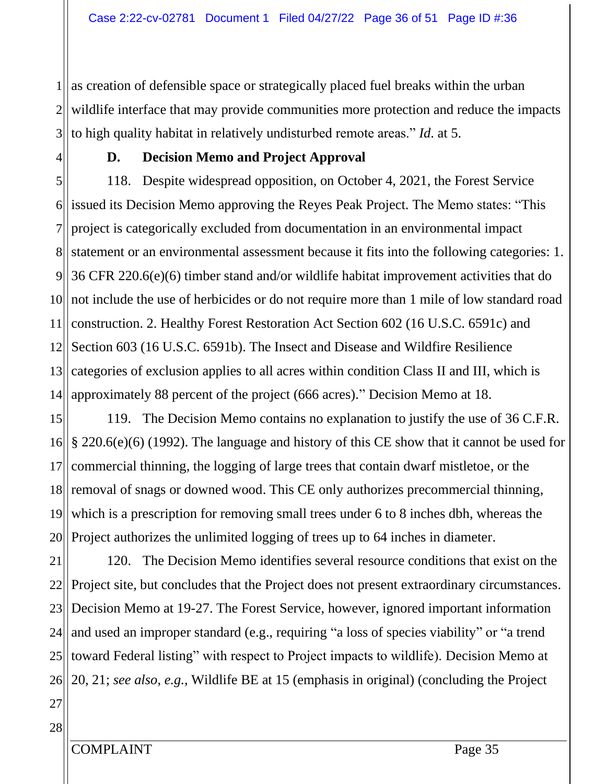1 2 3 as creation of defensible space or strategically placed fuel breaks within the urban wildlife interface that may provide communities more protection and reduce the impacts to high quality habitat in relatively undisturbed remote areas." *Id*. at 5.

4

## **D. Decision Memo and Project Approval**

5  $6$ 7 8 9 10 11 12 13 14 118. Despite widespread opposition, on October 4, 2021, the Forest Service issued its Decision Memo approving the Reyes Peak Project. The Memo states: "This project is categorically excluded from documentation in an environmental impact statement or an environmental assessment because it fits into the following categories: 1. 36 CFR 220.6(e)(6) timber stand and/or wildlife habitat improvement activities that do not include the use of herbicides or do not require more than 1 mile of low standard road construction. 2. Healthy Forest Restoration Act Section 602 (16 U.S.C. 6591c) and Section 603 (16 U.S.C. 6591b). The Insect and Disease and Wildfire Resilience categories of exclusion applies to all acres within condition Class II and III, which is approximately 88 percent of the project (666 acres)." Decision Memo at 18.

15 16 17 18 19 20 119. The Decision Memo contains no explanation to justify the use of 36 C.F.R. § 220.6(e)(6) (1992). The language and history of this CE show that it cannot be used for commercial thinning, the logging of large trees that contain dwarf mistletoe, or the removal of snags or downed wood. This CE only authorizes precommercial thinning, which is a prescription for removing small trees under 6 to 8 inches dbh, whereas the Project authorizes the unlimited logging of trees up to 64 inches in diameter.

21 22<sup>||</sup> 23 24 25  $26$ 120. The Decision Memo identifies several resource conditions that exist on the Project site, but concludes that the Project does not present extraordinary circumstances. Decision Memo at 19-27. The Forest Service, however, ignored important information and used an improper standard (e.g., requiring "a loss of species viability" or "a trend toward Federal listing" with respect to Project impacts to wildlife). Decision Memo at 20, 21; *see also, e.g.,* Wildlife BE at 15 (emphasis in original) (concluding the Project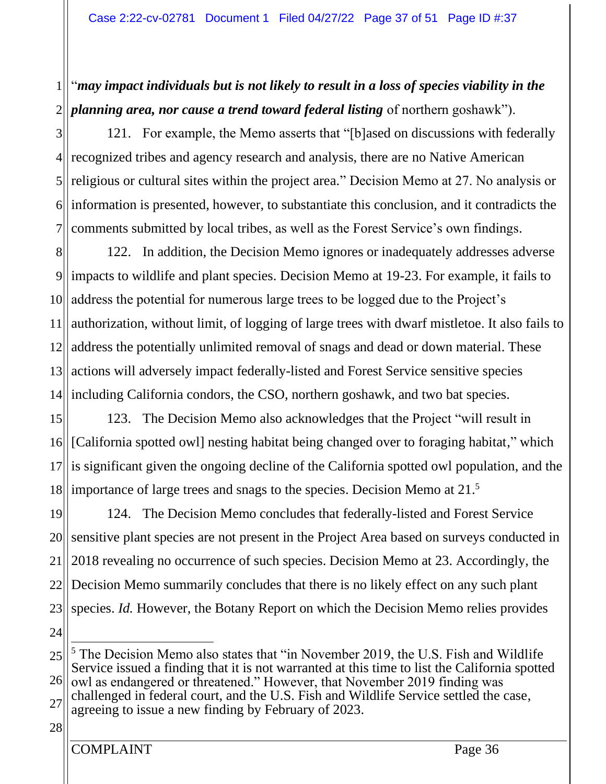#### 1 2 "*may impact individuals but is not likely to result in a loss of species viability in the planning area, nor cause a trend toward federal listing* of northern goshawk").

3  $4$ 5 6 7 121. For example, the Memo asserts that "[b]ased on discussions with federally recognized tribes and agency research and analysis, there are no Native American religious or cultural sites within the project area." Decision Memo at 27. No analysis or information is presented, however, to substantiate this conclusion, and it contradicts the comments submitted by local tribes, as well as the Forest Service's own findings.

8 9 10 11 12 13  $14$ || 122. In addition, the Decision Memo ignores or inadequately addresses adverse impacts to wildlife and plant species. Decision Memo at 19-23. For example, it fails to address the potential for numerous large trees to be logged due to the Project's authorization, without limit, of logging of large trees with dwarf mistletoe. It also fails to address the potentially unlimited removal of snags and dead or down material. These actions will adversely impact federally-listed and Forest Service sensitive species including California condors, the CSO, northern goshawk, and two bat species.

15 16 17 18 123. The Decision Memo also acknowledges that the Project "will result in [California spotted owl] nesting habitat being changed over to foraging habitat," which is significant given the ongoing decline of the California spotted owl population, and the importance of large trees and snags to the species. Decision Memo at 21. 5

19 20 21 22 23 124. The Decision Memo concludes that federally-listed and Forest Service sensitive plant species are not present in the Project Area based on surveys conducted in 2018 revealing no occurrence of such species. Decision Memo at 23. Accordingly, the Decision Memo summarily concludes that there is no likely effect on any such plant species. *Id.* However, the Botany Report on which the Decision Memo relies provides

24

<sup>25</sup> 26 27 <sup>5</sup> The Decision Memo also states that "in November 2019, the U.S. Fish and Wildlife Service issued a finding that it is not warranted at this time to list the California spotted owl as endangered or threatened." However, that November 2019 finding was challenged in federal court, and the U.S. Fish and Wildlife Service settled the case, agreeing to issue a new finding by February of 2023.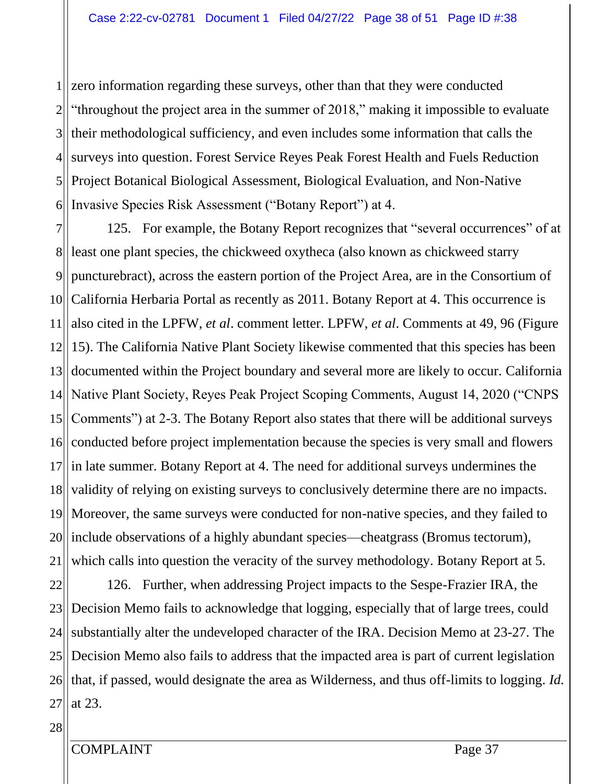$1<sup>1</sup>$ 2 3  $4$ 5 6 zero information regarding these surveys, other than that they were conducted "throughout the project area in the summer of 2018," making it impossible to evaluate their methodological sufficiency, and even includes some information that calls the surveys into question. Forest Service Reyes Peak Forest Health and Fuels Reduction Project Botanical Biological Assessment, Biological Evaluation, and Non-Native Invasive Species Risk Assessment ("Botany Report") at 4.

7 81 9 10 11 12 131  $14$ ||  $15$ 16 17 18 19 20 21 125. For example, the Botany Report recognizes that "several occurrences" of at least one plant species, the chickweed oxytheca (also known as chickweed starry puncturebract), across the eastern portion of the Project Area, are in the Consortium of California Herbaria Portal as recently as 2011. Botany Report at 4. This occurrence is also cited in the LPFW, *et al*. comment letter. LPFW, *et al*. Comments at 49, 96 (Figure 15). The California Native Plant Society likewise commented that this species has been documented within the Project boundary and several more are likely to occur. California Native Plant Society, Reyes Peak Project Scoping Comments, August 14, 2020 ("CNPS Comments") at 2-3. The Botany Report also states that there will be additional surveys conducted before project implementation because the species is very small and flowers in late summer. Botany Report at 4. The need for additional surveys undermines the validity of relying on existing surveys to conclusively determine there are no impacts. Moreover, the same surveys were conducted for non-native species, and they failed to include observations of a highly abundant species—cheatgrass (Bromus tectorum), which calls into question the veracity of the survey methodology. Botany Report at 5.

22 23 24 25  $26$ | 27 126. Further, when addressing Project impacts to the Sespe-Frazier IRA, the Decision Memo fails to acknowledge that logging, especially that of large trees, could substantially alter the undeveloped character of the IRA. Decision Memo at 23-27. The Decision Memo also fails to address that the impacted area is part of current legislation that, if passed, would designate the area as Wilderness, and thus off-limits to logging. *Id.* at 23.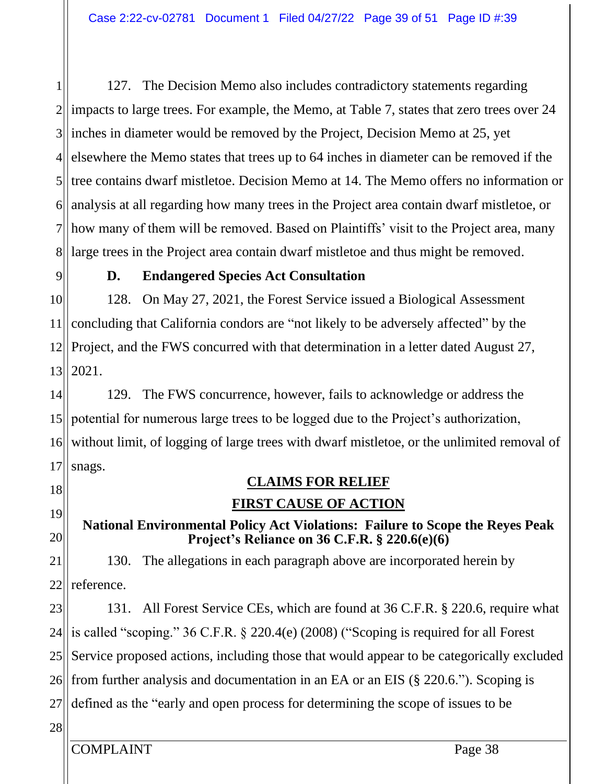1  $2$  $3$  $4$ 5 6 7 811 127. The Decision Memo also includes contradictory statements regarding impacts to large trees. For example, the Memo, at Table 7, states that zero trees over 24 inches in diameter would be removed by the Project, Decision Memo at 25, yet elsewhere the Memo states that trees up to 64 inches in diameter can be removed if the tree contains dwarf mistletoe. Decision Memo at 14. The Memo offers no information or analysis at all regarding how many trees in the Project area contain dwarf mistletoe, or how many of them will be removed. Based on Plaintiffs' visit to the Project area, many large trees in the Project area contain dwarf mistletoe and thus might be removed.

9

## **D. Endangered Species Act Consultation**

10 11 12 13 128. On May 27, 2021, the Forest Service issued a Biological Assessment concluding that California condors are "not likely to be adversely affected" by the Project, and the FWS concurred with that determination in a letter dated August 27, 2021.

14 15 16 17 129. The FWS concurrence, however, fails to acknowledge or address the potential for numerous large trees to be logged due to the Project's authorization, without limit, of logging of large trees with dwarf mistletoe, or the unlimited removal of snags.

18 19

20

# **CLAIMS FOR RELIEF**

## **FIRST CAUSE OF ACTION**

## **National Environmental Policy Act Violations: Failure to Scope the Reyes Peak Project's Reliance on 36 C.F.R. § 220.6(e)(6)**

21 22 130. The allegations in each paragraph above are incorporated herein by reference.

23 24 25  $26$ 27 131. All Forest Service CEs, which are found at 36 C.F.R. § 220.6, require what is called "scoping." 36 C.F.R. § 220.4(e) (2008) ("Scoping is required for all Forest Service proposed actions, including those that would appear to be categorically excluded from further analysis and documentation in an EA or an EIS (§ 220.6."). Scoping is defined as the "early and open process for determining the scope of issues to be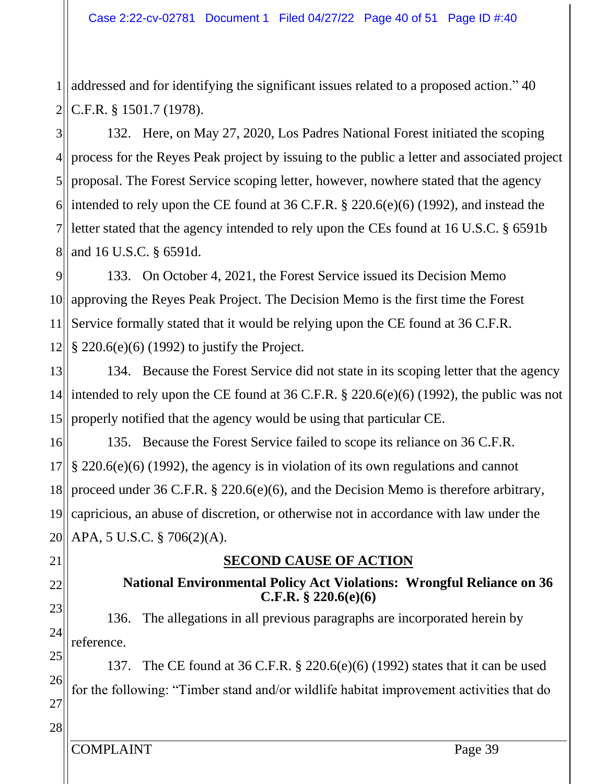1 2 addressed and for identifying the significant issues related to a proposed action." 40 C.F.R. § 1501.7 (1978).

3  $4$ 5  $6$  $7$ || 8 and 16 U.S.C. § 6591d. 132. Here, on May 27, 2020, Los Padres National Forest initiated the scoping process for the Reyes Peak project by issuing to the public a letter and associated project proposal. The Forest Service scoping letter, however, nowhere stated that the agency intended to rely upon the CE found at 36 C.F.R. § 220.6(e)(6) (1992), and instead the letter stated that the agency intended to rely upon the CEs found at 16 U.S.C. § 6591b

9 10 11 12 133. On October 4, 2021, the Forest Service issued its Decision Memo approving the Reyes Peak Project. The Decision Memo is the first time the Forest Service formally stated that it would be relying upon the CE found at 36 C.F.R. § 220.6(e)(6) (1992) to justify the Project.

13 14 intended to rely upon the CE found at 36 C.F.R. § 220.6(e)(6) (1992), the public was not 15 134. Because the Forest Service did not state in its scoping letter that the agency properly notified that the agency would be using that particular CE.

16 17 18 19 20 APA, 5 U.S.C. § 706(2)(A). 135. Because the Forest Service failed to scope its reliance on 36 C.F.R. § 220.6(e)(6) (1992), the agency is in violation of its own regulations and cannot proceed under 36 C.F.R. § 220.6(e)(6), and the Decision Memo is therefore arbitrary, capricious, an abuse of discretion, or otherwise not in accordance with law under the

21

22

23

24

## **SECOND CAUSE OF ACTION**

## **National Environmental Policy Act Violations: Wrongful Reliance on 36 C.F.R. § 220.6(e)(6)**

136. The allegations in all previous paragraphs are incorporated herein by reference.

25 26 27 137. The CE found at 36 C.F.R. § 220.6(e)(6) (1992) states that it can be used for the following: "Timber stand and/or wildlife habitat improvement activities that do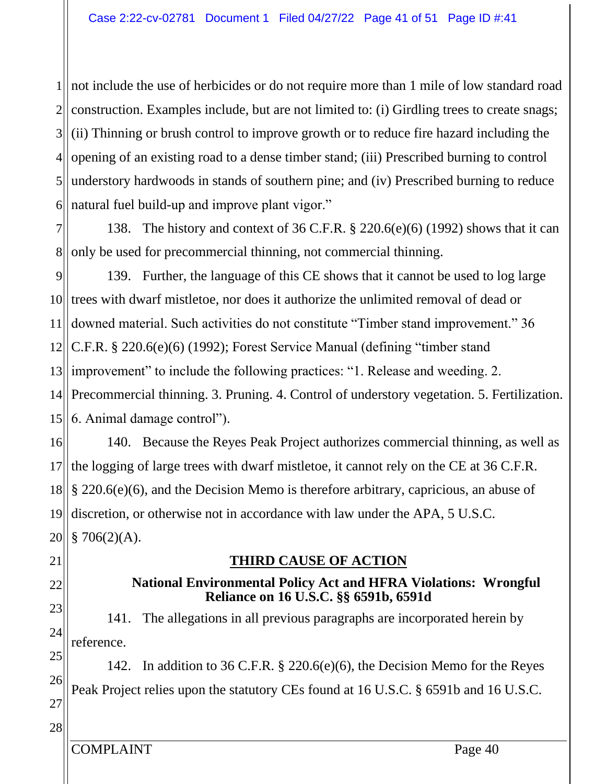$1$ || 2 3  $4$ 5 6 not include the use of herbicides or do not require more than 1 mile of low standard road construction. Examples include, but are not limited to: (i) Girdling trees to create snags; (ii) Thinning or brush control to improve growth or to reduce fire hazard including the opening of an existing road to a dense timber stand; (iii) Prescribed burning to control understory hardwoods in stands of southern pine; and (iv) Prescribed burning to reduce natural fuel build-up and improve plant vigor."

7 8 138. The history and context of 36 C.F.R. § 220.6(e)(6) (1992) shows that it can only be used for precommercial thinning, not commercial thinning.

9 10 11 12  $13$  $14$ || 15 139. Further, the language of this CE shows that it cannot be used to log large trees with dwarf mistletoe, nor does it authorize the unlimited removal of dead or downed material. Such activities do not constitute "Timber stand improvement." 36 C.F.R. § 220.6(e)(6) (1992); Forest Service Manual (defining "timber stand improvement" to include the following practices: "1. Release and weeding. 2. Precommercial thinning. 3. Pruning. 4. Control of understory vegetation. 5. Fertilization. 6. Animal damage control").

16 17 18 19 20 140. Because the Reyes Peak Project authorizes commercial thinning, as well as the logging of large trees with dwarf mistletoe, it cannot rely on the CE at 36 C.F.R. § 220.6(e)(6), and the Decision Memo is therefore arbitrary, capricious, an abuse of discretion, or otherwise not in accordance with law under the APA, 5 U.S.C.  $$706(2)(A).$ 

21

22 23

24

## **THIRD CAUSE OF ACTION**

## **National Environmental Policy Act and HFRA Violations: Wrongful Reliance on 16 U.S.C. §§ 6591b, 6591d**

141. The allegations in all previous paragraphs are incorporated herein by reference.

25 26 27 142. In addition to 36 C.F.R. § 220.6(e)(6), the Decision Memo for the Reyes Peak Project relies upon the statutory CEs found at 16 U.S.C. § 6591b and 16 U.S.C.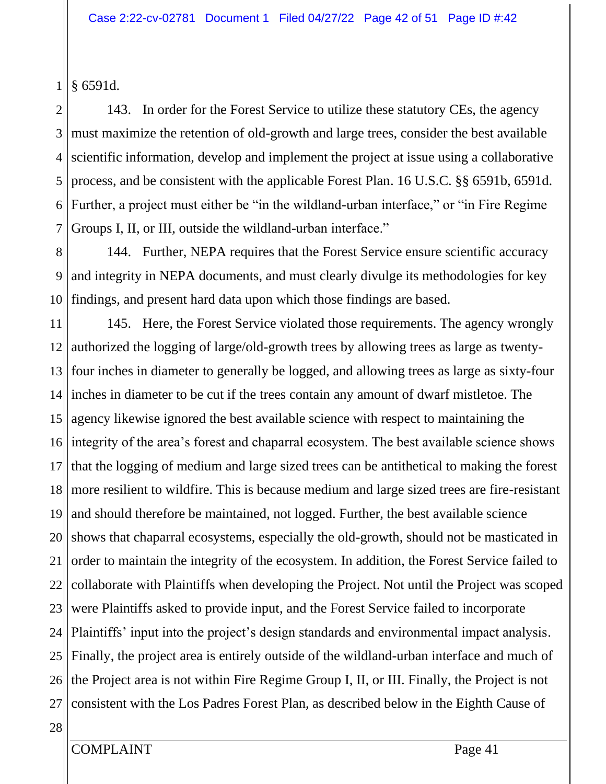1 § 6591d.

2 3 4 5 6 7 143. In order for the Forest Service to utilize these statutory CEs, the agency must maximize the retention of old-growth and large trees, consider the best available scientific information, develop and implement the project at issue using a collaborative process, and be consistent with the applicable Forest Plan. 16 U.S.C. §§ 6591b, 6591d. Further, a project must either be "in the wildland-urban interface," or "in Fire Regime Groups I, II, or III, outside the wildland-urban interface."

8 9 10 144. Further, NEPA requires that the Forest Service ensure scientific accuracy and integrity in NEPA documents, and must clearly divulge its methodologies for key findings, and present hard data upon which those findings are based.

11 12 13  $14$  $15$ 16 17 18 19 20 21 22 23 24 25 26 27 145. Here, the Forest Service violated those requirements. The agency wrongly authorized the logging of large/old-growth trees by allowing trees as large as twentyfour inches in diameter to generally be logged, and allowing trees as large as sixty-four inches in diameter to be cut if the trees contain any amount of dwarf mistletoe. The agency likewise ignored the best available science with respect to maintaining the integrity of the area's forest and chaparral ecosystem. The best available science shows that the logging of medium and large sized trees can be antithetical to making the forest more resilient to wildfire. This is because medium and large sized trees are fire-resistant and should therefore be maintained, not logged. Further, the best available science shows that chaparral ecosystems, especially the old-growth, should not be masticated in order to maintain the integrity of the ecosystem. In addition, the Forest Service failed to collaborate with Plaintiffs when developing the Project. Not until the Project was scoped were Plaintiffs asked to provide input, and the Forest Service failed to incorporate Plaintiffs' input into the project's design standards and environmental impact analysis. Finally, the project area is entirely outside of the wildland-urban interface and much of the Project area is not within Fire Regime Group I, II, or III. Finally, the Project is not consistent with the Los Padres Forest Plan, as described below in the Eighth Cause of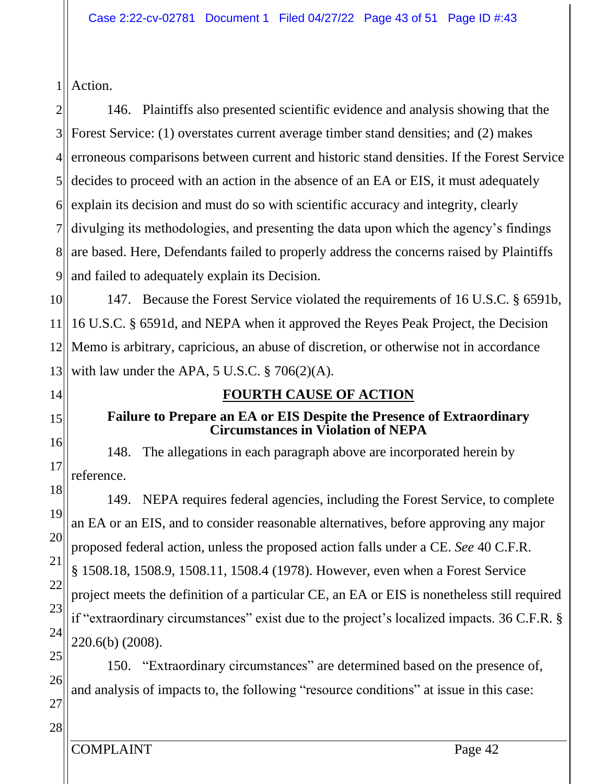1 Action.

2  $3$  $4$ 5  $6$ 7 8 9 146. Plaintiffs also presented scientific evidence and analysis showing that the Forest Service: (1) overstates current average timber stand densities; and (2) makes erroneous comparisons between current and historic stand densities. If the Forest Service decides to proceed with an action in the absence of an EA or EIS, it must adequately explain its decision and must do so with scientific accuracy and integrity, clearly divulging its methodologies, and presenting the data upon which the agency's findings are based. Here, Defendants failed to properly address the concerns raised by Plaintiffs and failed to adequately explain its Decision.

10 11 12 13 147. Because the Forest Service violated the requirements of 16 U.S.C. § 6591b, 16 U.S.C. § 6591d, and NEPA when it approved the Reyes Peak Project, the Decision Memo is arbitrary, capricious, an abuse of discretion, or otherwise not in accordance with law under the APA, 5 U.S.C.  $\S$  706(2)(A).

14

## 15 16

17

## **Failure to Prepare an EA or EIS Despite the Presence of Extraordinary Circumstances in Violation of NEPA**

**FOURTH CAUSE OF ACTION**

148. The allegations in each paragraph above are incorporated herein by reference.

18 19 20 21 22 23 24 149. NEPA requires federal agencies, including the Forest Service, to complete an EA or an EIS, and to consider reasonable alternatives, before approving any major proposed federal action, unless the proposed action falls under a CE. *See* 40 C.F.R. § 1508.18, 1508.9, 1508.11, 1508.4 (1978). However, even when a Forest Service project meets the definition of a particular CE, an EA or EIS is nonetheless still required if "extraordinary circumstances" exist due to the project's localized impacts. 36 C.F.R. § 220.6(b) (2008).

25 26 27 150. "Extraordinary circumstances" are determined based on the presence of, and analysis of impacts to, the following "resource conditions" at issue in this case: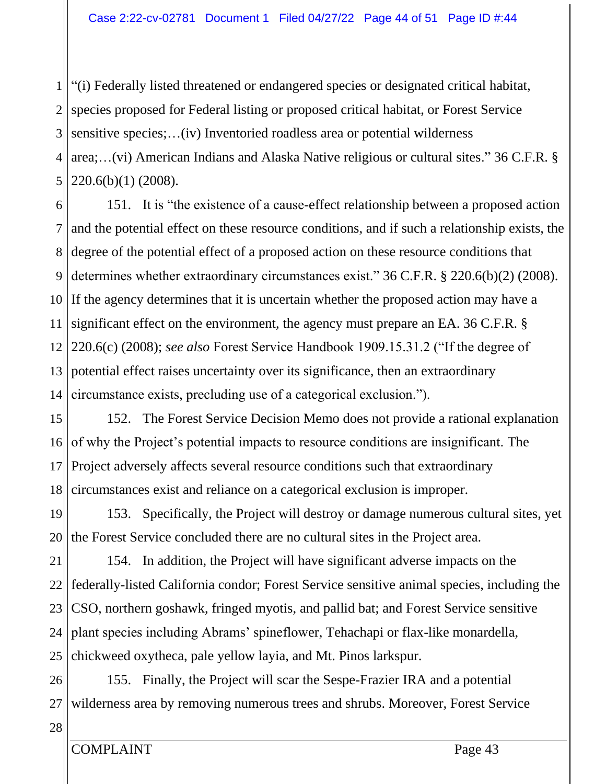1 2 3  $4$ 5 "(i) Federally listed threatened or endangered species or designated critical habitat, species proposed for Federal listing or proposed critical habitat, or Forest Service sensitive species;…(iv) Inventoried roadless area or potential wilderness area;…(vi) American Indians and Alaska Native religious or cultural sites." 36 C.F.R. § 220.6(b)(1) (2008).

6 7 81 9|| 10 If the agency determines that it is uncertain whether the proposed action may have a 11 12 13  $14$ 151. It is "the existence of a cause-effect relationship between a proposed action and the potential effect on these resource conditions, and if such a relationship exists, the degree of the potential effect of a proposed action on these resource conditions that determines whether extraordinary circumstances exist." 36 C.F.R. § 220.6(b)(2) (2008). significant effect on the environment, the agency must prepare an EA. 36 C.F.R. § 220.6(c) (2008); *see also* Forest Service Handbook 1909.15.31.2 ("If the degree of potential effect raises uncertainty over its significance, then an extraordinary circumstance exists, precluding use of a categorical exclusion.").

15 16 17 18 152. The Forest Service Decision Memo does not provide a rational explanation of why the Project's potential impacts to resource conditions are insignificant. The Project adversely affects several resource conditions such that extraordinary circumstances exist and reliance on a categorical exclusion is improper.

19 20 153. Specifically, the Project will destroy or damage numerous cultural sites, yet the Forest Service concluded there are no cultural sites in the Project area.

21 22 23 24 25 154. In addition, the Project will have significant adverse impacts on the federally-listed California condor; Forest Service sensitive animal species, including the CSO, northern goshawk, fringed myotis, and pallid bat; and Forest Service sensitive plant species including Abrams' spineflower, Tehachapi or flax-like monardella, chickweed oxytheca, pale yellow layia, and Mt. Pinos larkspur.

26 27 155. Finally, the Project will scar the Sespe-Frazier IRA and a potential wilderness area by removing numerous trees and shrubs. Moreover, Forest Service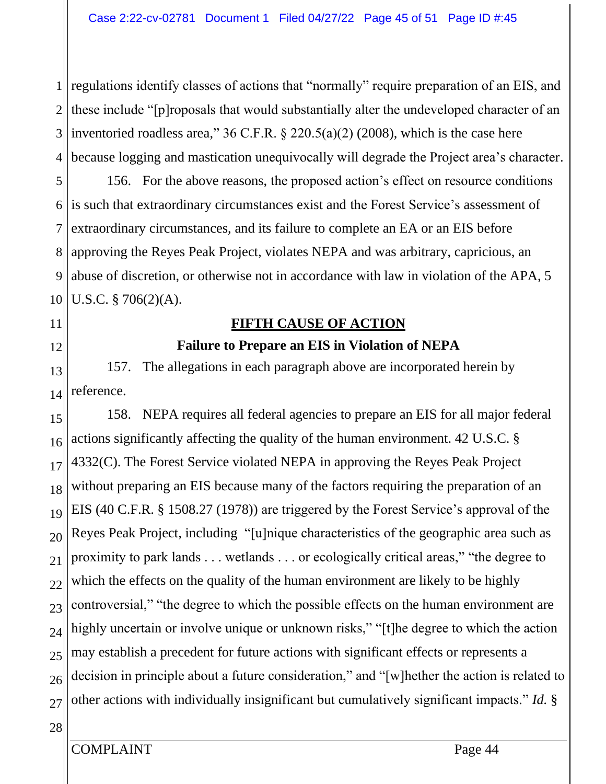1 regulations identify classes of actions that "normally" require preparation of an EIS, and  $2$  $3$  $4$ these include "[p]roposals that would substantially alter the undeveloped character of an inventoried roadless area,"  $36$  C.F.R. §  $220.5(a)(2)$  (2008), which is the case here because logging and mastication unequivocally will degrade the Project area's character.

5 6 is such that extraordinary circumstances exist and the Forest Service's assessment of 7  $8<sup>||</sup>$ 9 10 156. For the above reasons, the proposed action's effect on resource conditions extraordinary circumstances, and its failure to complete an EA or an EIS before approving the Reyes Peak Project, violates NEPA and was arbitrary, capricious, an abuse of discretion, or otherwise not in accordance with law in violation of the APA, 5 U.S.C. § 706(2)(A).

# **FIFTH CAUSE OF ACTION Failure to Prepare an EIS in Violation of NEPA**

13 14 157. The allegations in each paragraph above are incorporated herein by reference.

15 16 17 18 19 20 21 22 23 24 25 26 27 158. NEPA requires all federal agencies to prepare an EIS for all major federal actions significantly affecting the quality of the human environment. 42 U.S.C. § 4332(C). The Forest Service violated NEPA in approving the Reyes Peak Project without preparing an EIS because many of the factors requiring the preparation of an EIS (40 C.F.R. § 1508.27 (1978)) are triggered by the Forest Service's approval of the Reyes Peak Project, including "[u]nique characteristics of the geographic area such as proximity to park lands . . . wetlands . . . or ecologically critical areas," "the degree to which the effects on the quality of the human environment are likely to be highly controversial," "the degree to which the possible effects on the human environment are highly uncertain or involve unique or unknown risks," "[t]he degree to which the action may establish a precedent for future actions with significant effects or represents a decision in principle about a future consideration," and "[w]hether the action is related to other actions with individually insignificant but cumulatively significant impacts." *Id.* §

28

11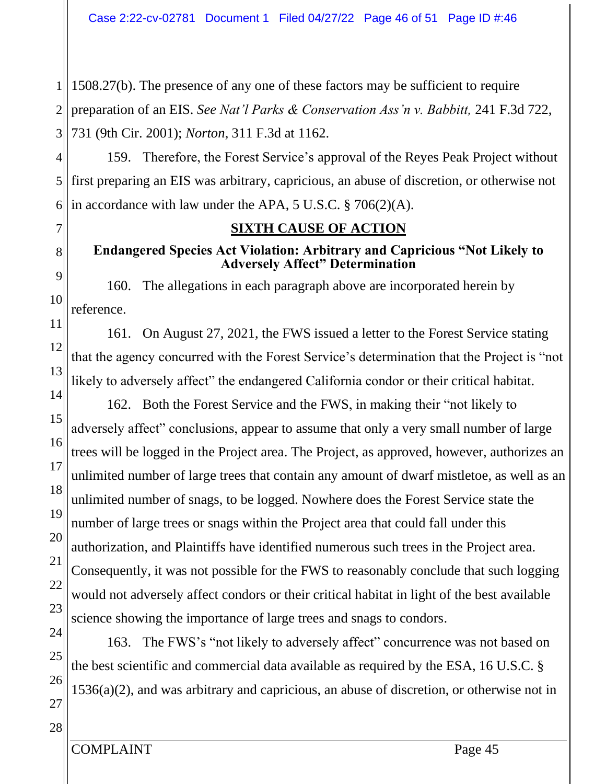$1$ || 2 3 1508.27(b). The presence of any one of these factors may be sufficient to require preparation of an EIS. *See Nat'l Parks & Conservation Ass'n v. Babbitt,* 241 F.3d 722, 731 (9th Cir. 2001); *Norton*, 311 F.3d at 1162.

4 5 6 159. Therefore, the Forest Service's approval of the Reyes Peak Project without first preparing an EIS was arbitrary, capricious, an abuse of discretion, or otherwise not in accordance with law under the APA, 5 U.S.C. § 706(2)(A).

## **SIXTH CAUSE OF ACTION**

## **Endangered Species Act Violation: Arbitrary and Capricious "Not Likely to Adversely Affect" Determination**

9 10 160. The allegations in each paragraph above are incorporated herein by reference.

13 161. On August 27, 2021, the FWS issued a letter to the Forest Service stating that the agency concurred with the Forest Service's determination that the Project is "not likely to adversely affect" the endangered California condor or their critical habitat.

14 15 16 17 18 19 20 21 22 23 162. Both the Forest Service and the FWS, in making their "not likely to adversely affect" conclusions, appear to assume that only a very small number of large trees will be logged in the Project area. The Project, as approved, however, authorizes an unlimited number of large trees that contain any amount of dwarf mistletoe, as well as an unlimited number of snags, to be logged. Nowhere does the Forest Service state the number of large trees or snags within the Project area that could fall under this authorization, and Plaintiffs have identified numerous such trees in the Project area. Consequently, it was not possible for the FWS to reasonably conclude that such logging would not adversely affect condors or their critical habitat in light of the best available science showing the importance of large trees and snags to condors.

24 25 26 27 163. The FWS's "not likely to adversely affect" concurrence was not based on the best scientific and commercial data available as required by the ESA, 16 U.S.C. § 1536(a)(2), and was arbitrary and capricious, an abuse of discretion, or otherwise not in

7

8

11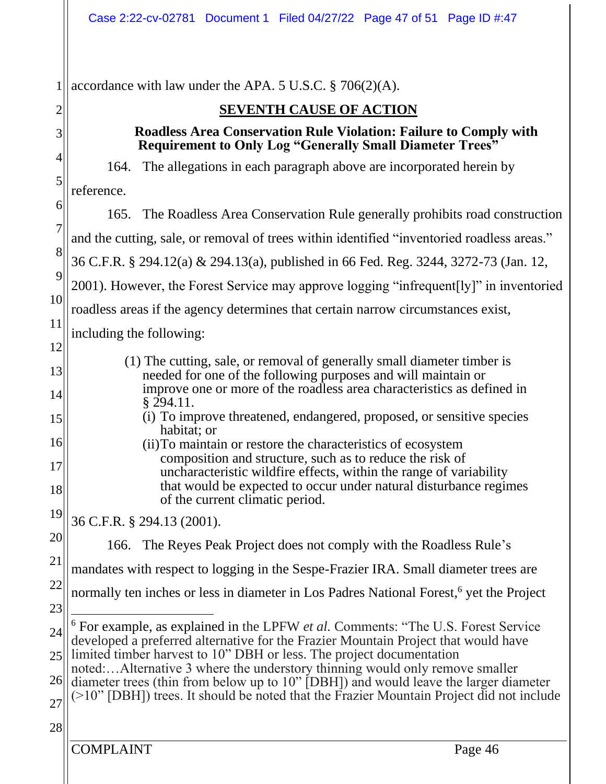COMPLAINT Page 46 1 2 3 4 5 6 7 8 9 10 11 12 13 14 15 16 17 18 19 20 21 22 23 24 25 26 27 28 accordance with law under the APA. 5 U.S.C. § 706(2)(A). **SEVENTH CAUSE OF ACTION Roadless Area Conservation Rule Violation: Failure to Comply with Requirement to Only Log "Generally Small Diameter Trees"** 164. The allegations in each paragraph above are incorporated herein by reference. 165. The Roadless Area Conservation Rule generally prohibits road construction and the cutting, sale, or removal of trees within identified "inventoried roadless areas." 36 C.F.R. § 294.12(a) & 294.13(a), published in 66 Fed. Reg. 3244, 3272-73 (Jan. 12, 2001). However, the Forest Service may approve logging "infrequent[ly]" in inventoried roadless areas if the agency determines that certain narrow circumstances exist, including the following: (1) The cutting, sale, or removal of generally small diameter timber is needed for one of the following purposes and will maintain or improve one or more of the roadless area characteristics as defined in § 294.11. (i) To improve threatened, endangered, proposed, or sensitive species habitat; or (ii)To maintain or restore the characteristics of ecosystem composition and structure, such as to reduce the risk of uncharacteristic wildfire effects, within the range of variability that would be expected to occur under natural disturbance regimes of the current climatic period. 36 C.F.R. § 294.13 (2001). 166. The Reyes Peak Project does not comply with the Roadless Rule's mandates with respect to logging in the Sespe-Frazier IRA. Small diameter trees are normally ten inches or less in diameter in Los Padres National Forest,<sup>6</sup> yet the Project <sup>6</sup> For example, as explained in the LPFW *et al.* Comments: "The U.S. Forest Service developed a preferred alternative for the Frazier Mountain Project that would have limited timber harvest to 10" DBH or less. The project documentation noted:…Alternative 3 where the understory thinning would only remove smaller diameter trees (thin from below up to 10" [DBH]) and would leave the larger diameter (>10" [DBH]) trees. It should be noted that the Frazier Mountain Project did not include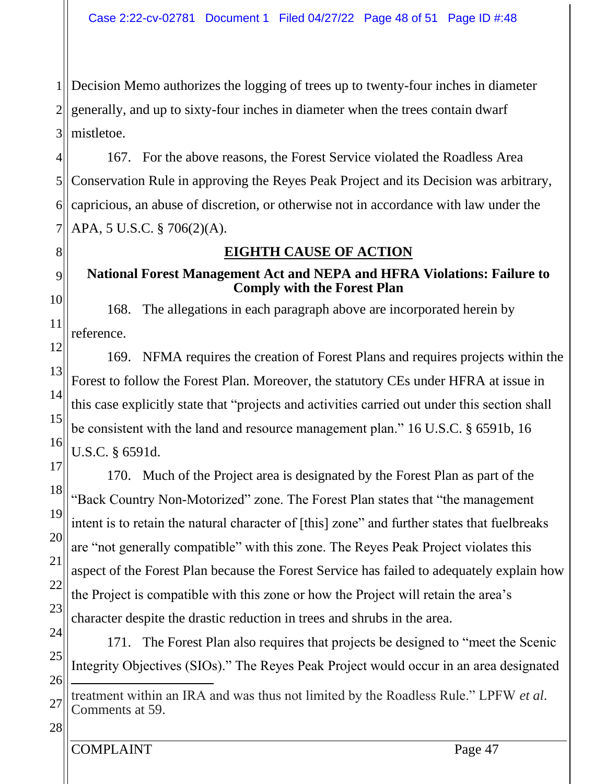$1$ || 2 3 Decision Memo authorizes the logging of trees up to twenty-four inches in diameter generally, and up to sixty-four inches in diameter when the trees contain dwarf mistletoe.

4 5 6 7 167. For the above reasons, the Forest Service violated the Roadless Area Conservation Rule in approving the Reyes Peak Project and its Decision was arbitrary, capricious, an abuse of discretion, or otherwise not in accordance with law under the APA, 5 U.S.C. § 706(2)(A).

## **EIGHTH CAUSE OF ACTION**

## **National Forest Management Act and NEPA and HFRA Violations: Failure to Comply with the Forest Plan**

168. The allegations in each paragraph above are incorporated herein by reference.

12 13 14 15 16 169. NFMA requires the creation of Forest Plans and requires projects within the Forest to follow the Forest Plan. Moreover, the statutory CEs under HFRA at issue in this case explicitly state that "projects and activities carried out under this section shall be consistent with the land and resource management plan." 16 U.S.C. § 6591b, 16 U.S.C. § 6591d.

17 18 19 20 21 22 23 170. Much of the Project area is designated by the Forest Plan as part of the "Back Country Non-Motorized" zone. The Forest Plan states that "the management intent is to retain the natural character of [this] zone" and further states that fuelbreaks are "not generally compatible" with this zone. The Reyes Peak Project violates this aspect of the Forest Plan because the Forest Service has failed to adequately explain how the Project is compatible with this zone or how the Project will retain the area's character despite the drastic reduction in trees and shrubs in the area.

24 25 26 171. The Forest Plan also requires that projects be designed to "meet the Scenic Integrity Objectives (SIOs)." The Reyes Peak Project would occur in an area designated

28

8

9

10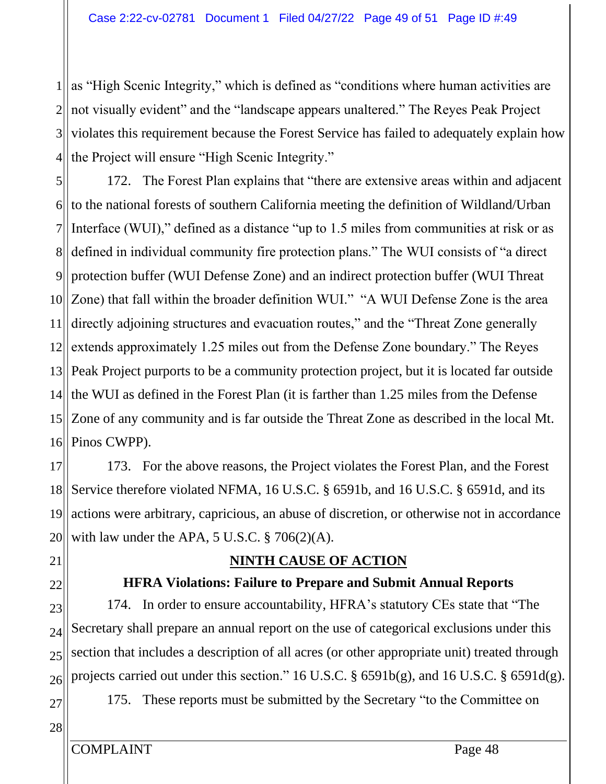1  $2$ 3  $4$ as "High Scenic Integrity," which is defined as "conditions where human activities are not visually evident" and the "landscape appears unaltered." The Reyes Peak Project violates this requirement because the Forest Service has failed to adequately explain how the Project will ensure "High Scenic Integrity."

5  $6$  $7$ 8 9 10 Zone) that fall within the broader definition WUI." "A WUI Defense Zone is the area 11 12  $13$ 14  $15$ 16 172. The Forest Plan explains that "there are extensive areas within and adjacent to the national forests of southern California meeting the definition of Wildland/Urban Interface (WUI)," defined as a distance "up to 1.5 miles from communities at risk or as defined in individual community fire protection plans." The WUI consists of "a direct protection buffer (WUI Defense Zone) and an indirect protection buffer (WUI Threat directly adjoining structures and evacuation routes," and the "Threat Zone generally extends approximately 1.25 miles out from the Defense Zone boundary." The Reyes Peak Project purports to be a community protection project, but it is located far outside the WUI as defined in the Forest Plan (it is farther than 1.25 miles from the Defense Zone of any community and is far outside the Threat Zone as described in the local Mt. Pinos CWPP).

17 18 19 20 173. For the above reasons, the Project violates the Forest Plan, and the Forest Service therefore violated NFMA, 16 U.S.C. § 6591b, and 16 U.S.C. § 6591d, and its actions were arbitrary, capricious, an abuse of discretion, or otherwise not in accordance with law under the APA, 5 U.S.C. § 706(2)(A).

21

22

24

## **NINTH CAUSE OF ACTION**

## **HFRA Violations: Failure to Prepare and Submit Annual Reports**

23 25 26 174. In order to ensure accountability, HFRA's statutory CEs state that "The Secretary shall prepare an annual report on the use of categorical exclusions under this section that includes a description of all acres (or other appropriate unit) treated through projects carried out under this section." 16 U.S.C. § 6591b(g), and 16 U.S.C. § 6591d(g).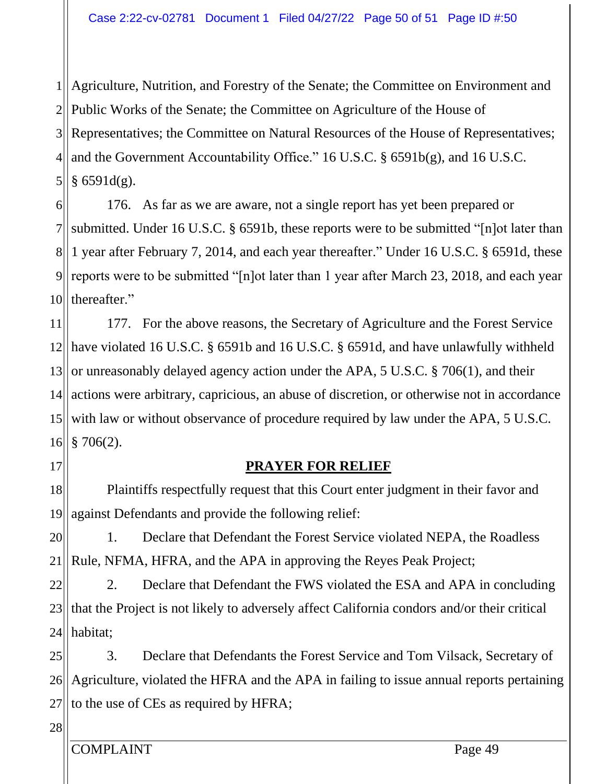1 Agriculture, Nutrition, and Forestry of the Senate; the Committee on Environment and 2 Public Works of the Senate; the Committee on Agriculture of the House of  $3$ 4|| and the Government Accountability Office." 16 U.S.C.  $\S$  6591b(g), and 16 U.S.C.  $5$ || Representatives; the Committee on Natural Resources of the House of Representatives;  $§ 6591d(g).$ 

6 7 81 9 10 176. As far as we are aware, not a single report has yet been prepared or submitted. Under 16 U.S.C. § 6591b, these reports were to be submitted "[n]ot later than 1 year after February 7, 2014, and each year thereafter." Under 16 U.S.C. § 6591d, these reports were to be submitted "[n]ot later than 1 year after March 23, 2018, and each year thereafter."

11 12 have violated 16 U.S.C. § 6591b and 16 U.S.C. § 6591d, and have unlawfully withheld  $13$ 14  $15$ 16 177. For the above reasons, the Secretary of Agriculture and the Forest Service or unreasonably delayed agency action under the APA, 5 U.S.C. § 706(1), and their actions were arbitrary, capricious, an abuse of discretion, or otherwise not in accordance with law or without observance of procedure required by law under the APA, 5 U.S.C.  $$706(2).$ 

17

## **PRAYER FOR RELIEF**

18 19 Plaintiffs respectfully request that this Court enter judgment in their favor and against Defendants and provide the following relief:

20  $21$ 1. Declare that Defendant the Forest Service violated NEPA, the Roadless Rule, NFMA, HFRA, and the APA in approving the Reyes Peak Project;

22 23 24 2. Declare that Defendant the FWS violated the ESA and APA in concluding that the Project is not likely to adversely affect California condors and/or their critical habitat;

25  $26$ 27 3. Declare that Defendants the Forest Service and Tom Vilsack, Secretary of Agriculture, violated the HFRA and the APA in failing to issue annual reports pertaining to the use of CEs as required by HFRA;